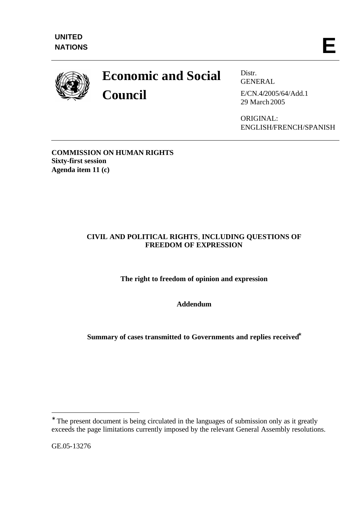

# **Economic and Social Council**

Distr. GENERAL

E/CN.4**/**2005/64/Add.1 29 March 2005

ORIGINAL: ENGLISH/FRENCH/SPANISH

**COMMISSION ON HUMAN RIGHTS Sixty-first session Agenda item 11 (c)** 

## **CIVIL AND POLITICAL RIGHTS**, **INCLUDING QUESTIONS OF FREEDOM OF EXPRESSION**

**The right to freedom of opinion and expression**

**Addendum**

**Summary of cases transmitted to Governments and replies received\***

GE.05-13276

l

**<sup>\*</sup>** The present document is being circulated in the languages of submission only as it greatly exceeds the page limitations currently imposed by the relevant General Assembly resolutions.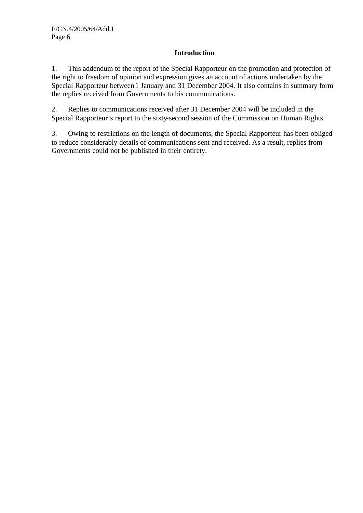### **Introduction**

1. This addendum to the report of the Special Rapporteur on the promotion and protection of the right to freedom of opinion and expression gives an account of actions undertaken by the Special Rapporteur between 1 January and 31 December 2004. It also contains in summary form the replies received from Governments to his communications.

2. Replies to communications received after 31 December 2004 will be included in the Special Rapporteur's report to the sixty-second session of the Commission on Human Rights.

3. Owing to restrictions on the length of documents, the Special Rapporteur has been obliged to reduce considerably details of communications sent and received. As a result, replies from Governments could not be published in their entirety.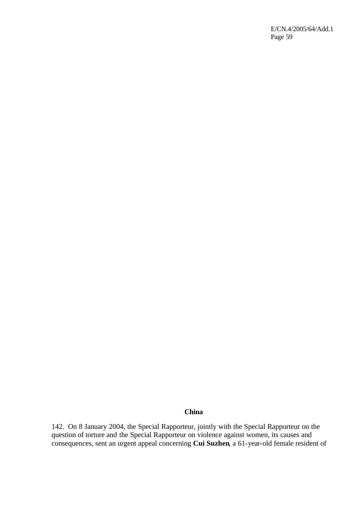E/CN.4/2005/64/Add.1 Page 59

#### **China**

142. On 8 January 2004, the Special Rapporteur, jointly with the Special Rapporteur on the question of torture and the Special Rapporteur on violence against women, its causes and consequences, sent an urgent appeal concerning **Cui Suzhen**, a 61-year-old female resident of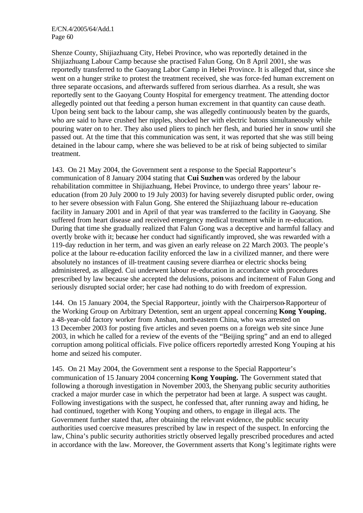E/CN.4/2005/64/Add.1 Page 60

Shenze County, Shijiazhuang City, Hebei Province, who was reportedly detained in the Shijiazhuang Labour Camp because she practised Falun Gong. On 8 April 2001, she was reportedly transferred to the Gaoyang Labor Camp in Hebei Province. It is alleged that, since she went on a hunger strike to protest the treatment received, she was force-fed human excrement on three separate occasions, and afterwards suffered from serious diarrhea. As a result, she was reportedly sent to the Gaoyang County Hospital for emergency treatment. The attending doctor allegedly pointed out that feeding a person human excrement in that quantity can cause death. Upon being sent back to the labour camp, she was allegedly continuously beaten by the guards, who are said to have crushed her nipples, shocked her with electric batons simultaneously while pouring water on to her. They also used pliers to pinch her flesh, and buried her in snow until she passed out. At the time that this communication was sent, it was reported that she was still being detained in the labour camp, where she was believed to be at risk of being subjected to similar treatment.

143. On 21 May 2004, the Government sent a response to the Special Rapporteur's communication of 8 January 2004 stating that **Cui Suzhen** was ordered by the labour rehabilitation committee in Shijiazhuang, Hebei Province, to undergo three years' labour reeducation (from 20 July 2000 to 19 July 2003) for having severely disrupted public order, owing to her severe obsession with Falun Gong. She entered the Shijiazhuang labour re-education facility in January 2001 and in April of that year was transferred to the facility in Gaoyang. She suffered from heart disease and received emergency medical treatment while in re-education. During that time she gradually realized that Falun Gong was a deceptive and harmful fallacy and overtly broke with it; because her conduct had significantly improved, she was rewarded with a 119-day reduction in her term, and was given an early release on 22 March 2003. The people's police at the labour re-education facility enforced the law in a civilized manner, and there were absolutely no instances of ill-treatment causing severe diarrhea or electric shocks being administered, as alleged. Cui underwent labour re-education in accordance with procedures prescribed by law because she accepted the delusions, poisons and incitement of Falun Gong and seriously disrupted social order; her case had nothing to do with freedom of expression.

144. On 15 January 2004, the Special Rapporteur, jointly with the Chairperson-Rapporteur of the Working Group on Arbitrary Detention, sent an urgent appeal concerning **Kong Youping**, a 48-year-old factory worker from Anshan, north-eastern China, who was arrested on 13 December 2003 for posting five articles and seven poems on a foreign web site since June 2003, in which he called for a review of the events of the "Beijing spring" and an end to alleged corruption among political officials. Five police officers reportedly arrested Kong Youping at his home and seized his computer.

145. On 21 May 2004, the Government sent a response to the Special Rapporteur's communication of 15 January 2004 concerning **Kong Youping.** The Government stated that following a thorough investigation in November 2003, the Shenyang public security authorities cracked a major murder case in which the perpetrator had been at large. A suspect was caught. Following investigations with the suspect, he confessed that, after running away and hiding, he had continued, together with Kong Youping and others, to engage in illegal acts. The Government further stated that, after obtaining the relevant evidence, the public security authorities used coercive measures prescribed by law in respect of the suspect. In enforcing the law, China's public security authorities strictly observed legally prescribed procedures and acted in accordance with the law. Moreover, the Government asserts that Kong's legitimate rights were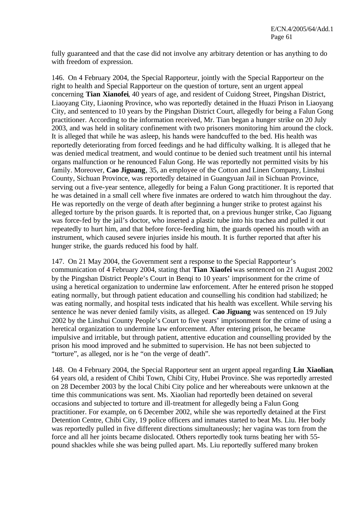fully guaranteed and that the case did not involve any arbitrary detention or has anything to do with freedom of expression.

146. On 4 February 2004, the Special Rapporteur, jointly with the Special Rapporteur on the right to health and Special Rapporteur on the question of torture, sent an urgent appeal concerning **Tian Xianofei**, 40 years of age, and resident of Cuidong Street, Pingshan District, Liaoyang City, Liaoning Province, who was reportedly detained in the Huazi Prison in Liaoyang City, and sentenced to 10 years by the Pingshan District Court, allegedly for being a Falun Gong practitioner. According to the information received, Mr. Tian began a hunger strike on 20 July 2003, and was held in solitary confinement with two prisoners monitoring him around the clock. It is alleged that while he was asleep, his hands were handcuffed to the bed. His health was reportedly deteriorating from forced feedings and he had difficulty walking. It is alleged that he was denied medical treatment, and would continue to be denied such treatment until his internal organs malfunction or he renounced Falun Gong. He was reportedly not permitted visits by his family. Moreover, **Cao Jiguang**, 35, an employee of the Cotton and Linen Company, Linshui County, Sichuan Province, was reportedly detained in Guangyuan Jail in Sichuan Province, serving out a five-year sentence, allegedly for being a Falun Gong practitioner. It is reported that he was detained in a small cell where five inmates are ordered to watch him throughout the day. He was reportedly on the verge of death after beginning a hunger strike to protest against his alleged torture by the prison guards. It is reported that, on a previous hunger strike, Cao Jiguang was force-fed by the jail's doctor, who inserted a plastic tube into his trachea and pulled it out repeatedly to hurt him, and that before force-feeding him, the guards opened his mouth with an instrument, which caused severe injuries inside his mouth. It is further reported that after his hunger strike, the guards reduced his food by half.

147. On 21 May 2004, the Government sent a response to the Special Rapporteur's communication of 4 February 2004, stating that **Tian Xiaofei** was sentenced on 21 August 2002 by the Pingshan District People's Court in Benqi to 10 years' imprisonment for the crime of using a heretical organization to undermine law enforcement. After he entered prison he stopped eating normally, but through patient education and counselling his condition had stabilized; he was eating normally, and hospital tests indicated that his health was excellent. While serving his sentence he was never denied family visits, as alleged. **Cao Jiguang** was sentenced on 19 July 2002 by the Linshui County People's Court to five years' imprisonment for the crime of using a heretical organization to undermine law enforcement. After entering prison, he became impulsive and irritable, but through patient, attentive education and counselling provided by the prison his mood improved and he submitted to supervision. He has not been subjected to "torture", as alleged, nor is he "on the verge of death".

148. On 4 February 2004, the Special Rapporteur sent an urgent appeal regarding **Liu Xiaolian**, 64 years old, a resident of Chibi Town, Chibi City, Hubei Province. She was reportedly arrested on 28 December 2003 by the local Chibi City police and her whereabouts were unknown at the time this communications was sent. Ms. Xiaolian had reportedly been detained on several occasions and subjected to torture and ill-treatment for allegedly being a Falun Gong practitioner. For example, on 6 December 2002, while she was reportedly detained at the First Detention Centre, Chibi City, 19 police officers and inmates started to beat Ms. Liu. Her body was reportedly pulled in five different directions simultaneously; her vagina was torn from the force and all her joints became dislocated. Others reportedly took turns beating her with 55 pound shackles while she was being pulled apart. Ms. Liu reportedly suffered many broken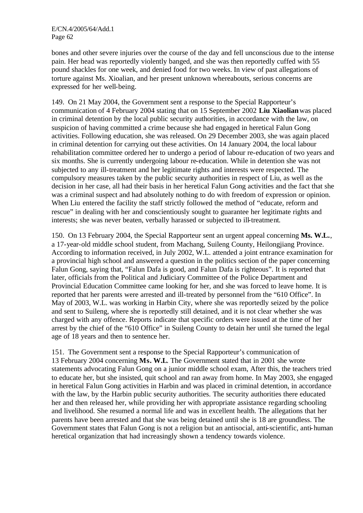bones and other severe injuries over the course of the day and fell unconscious due to the intense pain. Her head was reportedly violently banged, and she was then reportedly cuffed with 55 pound shackles for one week, and denied food for two weeks. In view of past allegations of torture against Ms. Xioalian, and her present unknown whereabouts, serious concerns are expressed for her well-being.

149. On 21 May 2004, the Government sent a response to the Special Rapporteur's communication of 4 February 2004 stating that on 15 September 2002 **Liu Xiaolian** was placed in criminal detention by the local public security authorities, in accordance with the law, on suspicion of having committed a crime because she had engaged in heretical Falun Gong activities. Following education, she was released. On 29 December 2003, she was again placed in criminal detention for carrying out these activities. On 14 January 2004, the local labour rehabilitation committee ordered her to undergo a period of labour re-education of two years and six months. She is currently undergoing labour re-education. While in detention she was not subjected to any ill-treatment and her legitimate rights and interests were respected. The compulsory measures taken by the public security authorities in respect of Liu, as well as the decision in her case, all had their basis in her heretical Falun Gong activities and the fact that she was a criminal suspect and had absolutely nothing to do with freedom of expression or opinion. When Liu entered the facility the staff strictly followed the method of "educate, reform and rescue" in dealing with her and conscientiously sought to guarantee her legitimate rights and interests; she was never beaten, verbally harassed or subjected to ill-treatment.

150. On 13 February 2004, the Special Rapporteur sent an urgent appeal concerning **Ms. W.L.**, a 17-year-old middle school student, from Machang, Suileng County, Heilongjiang Province. According to information received, in July 2002, W.L. attended a joint entrance examination for a provincial high school and answered a question in the politics section of the paper concerning Falun Gong, saying that, "Falun Dafa is good, and Falun Dafa is righteous". It is reported that later, officials from the Political and Judiciary Committee of the Police Department and Provincial Education Committee came looking for her, and she was forced to leave home. It is reported that her parents were arrested and ill-treated by personnel from the "610 Office". In May of 2003, W.L. was working in Harbin City, where she was reportedly seized by the police and sent to Suileng, where she is reportedly still detained, and it is not clear whether she was charged with any offence. Reports indicate that specific orders were issued at the time of her arrest by the chief of the "610 Office" in Suileng County to detain her until she turned the legal age of 18 years and then to sentence her.

151. The Government sent a response to the Special Rapporteur's communication of 13 February 2004 concerning **Ms. W.L**. The Government stated that in 2001 she wrote statements advocating Falun Gong on a junior middle school exam, After this, the teachers tried to educate her, but she insisted, quit school and ran away from home. In May 2003, she engaged in heretical Falun Gong activities in Harbin and was placed in criminal detention, in accordance with the law, by the Harbin public security authorities. The security authorities there educated her and then released her, while providing her with appropriate assistance regarding schooling and livelihood. She resumed a normal life and was in excellent health. The allegations that her parents have been arrested and that she was being detained until she is 18 are groundless. The Government states that Falun Gong is not a religion but an antisocial, anti-scientific, anti-human heretical organization that had increasingly shown a tendency towards violence.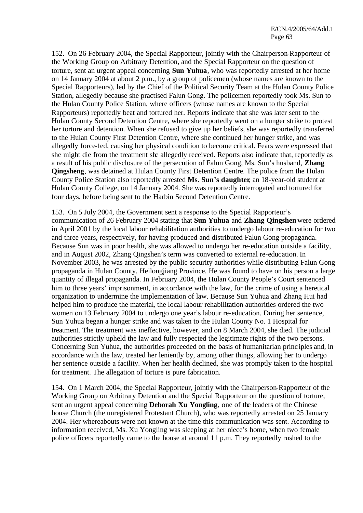152. On 26 February 2004, the Special Rapporteur, jointly with the Chairperson-Rapporteur of the Working Group on Arbitrary Detention, and the Special Rapporteur on the question of torture, sent an urgent appeal concerning **Sun Yuhua**, who was reportedly arrested at her home on 14 January 2004 at about 2 p.m., by a group of policemen (whose names are known to the Special Rapporteurs), led by the Chief of the Political Security Team at the Hulan County Police Station, allegedly because she practised Falun Gong. The policemen reportedly took Ms. Sun to the Hulan County Police Station, where officers (whose names are known to the Special Rapporteurs) reportedly beat and tortured her. Reports indicate that she was later sent to the Hulan County Second Detention Centre, where she reportedly went on a hunger strike to protest her torture and detention. When she refused to give up her beliefs, she was reportedly transferred to the Hulan County First Detention Centre, where she continued her hunger strike, and was allegedly force-fed, causing her physical condition to become critical. Fears were expressed that she might die from the treatment she allegedly received. Reports also indicate that, reportedly as a result of his public disclosure of the persecution of Falun Gong, Ms. Sun's husband, **Zhang Qingsheng**, was detained at Hulan County First Detention Centre. The police from the Hulan County Police Station also reportedly arrested **Ms. Sun's daughter**, an 18-year-old student at Hulan County College, on 14 January 2004. She was reportedly interrogated and tortured for four days, before being sent to the Harbin Second Detention Centre.

153. On 5 July 2004, the Government sent a response to the Special Rapporteur's communication of 26 February 2004 stating that **Sun Yuhua** and **Zhang Qingshen** were ordered in April 2001 by the local labour rehabilitation authorities to undergo labour re-education for two and three years, respectively, for having produced and distributed Falun Gong propaganda. Because Sun was in poor health, she was allowed to undergo her re-education outside a facility, and in August 2002, Zhang Qingshen's term was converted to external re-education. In November 2003, he was arrested by the public security authorities while distributing Falun Gong propaganda in Hulan County, Heilongjiang Province. He was found to have on his person a large quantity of illegal propaganda. In February 2004, the Hulan County People's Court sentenced him to three years' imprisonment, in accordance with the law, for the crime of using a heretical organization to undermine the implementation of law. Because Sun Yuhua and Zhang Hui had helped him to produce the material, the local labour rehabilitation authorities ordered the two women on 13 February 2004 to undergo one year's labour re-education. During her sentence, Sun Yuhua began a hunger strike and was taken to the Hulan County No. 1 Hospital for treatment. The treatment was ineffective, however, and on 8 March 2004, she died. The judicial authorities strictly upheld the law and fully respected the legitimate rights of the two persons. Concerning Sun Yuhua, the authorities proceeded on the basis of humanitarian princ iples and, in accordance with the law, treated her leniently by, among other things, allowing her to undergo her sentence outside a facility. When her health declined, she was promptly taken to the hospital for treatment. The allegation of torture is pure fabrication.

154. On 1 March 2004, the Special Rapporteur, jointly with the Chairperson-Rapporteur of the Working Group on Arbitrary Detention and the Special Rapporteur on the question of torture, sent an urgent appeal concerning **Deborah Xu Yongling**, one of the leaders of the Chinese house Church (the unregistered Protestant Church), who was reportedly arrested on 25 January 2004. Her whereabouts were not known at the time this communication was sent. According to information received, Ms. Xu Yongling was sleeping at her niece's home, when two female police officers reportedly came to the house at around 11 p.m. They reportedly rushed to the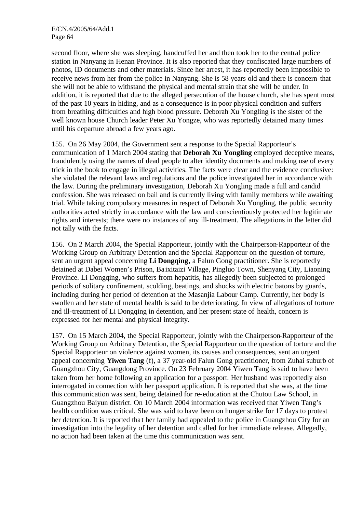second floor, where she was sleeping, handcuffed her and then took her to the central police station in Nanyang in Henan Province. It is also reported that they confiscated large numbers of photos, ID documents and other materials. Since her arrest, it has reportedly been impossible to receive news from her from the police in Nanyang. She is 58 years old and there is concern that she will not be able to withstand the physical and mental strain that she will be under. In addition, it is reported that due to the alleged persecution of the house church, she has spent most of the past 10 years in hiding, and as a consequence is in poor physical condition and suffers from breathing difficulties and high blood pressure. Deborah Xu Yongling is the sister of the well known house Church leader Peter Xu Yongze, who was reportedly detained many times until his departure abroad a few years ago.

155. On 26 May 2004, the Government sent a response to the Special Rapporteur's communication of 1 March 2004 stating that **Deborah Xu Yongling** employed deceptive means, fraudulently using the names of dead people to alter identity documents and making use of every trick in the book to engage in illegal activities. The facts were clear and the evidence conclusive: she violated the relevant laws and regulations and the police investigated her in accordance with the law. During the preliminary investigation, Deborah Xu Yongling made a full and candid confession. She was released on bail and is currently living with family members while awaiting trial. While taking compulsory measures in respect of Deborah Xu Yongling, the public security authorities acted strictly in accordance with the law and conscientiously protected her legitimate rights and interests; there were no instances of any ill-treatment. The allegations in the letter did not tally with the facts.

156. On 2 March 2004, the Special Rapporteur, jointly with the Chairperson-Rapporteur of the Working Group on Arbitrary Detention and the Special Rapporteur on the question of torture, sent an urgent appeal concerning **Li Dongqing**, a Falun Gong practitioner. She is reportedly detained at Dabei Women's Prison, Ba ixitaizi Village, Pingluo Town, Shenyang City, Liaoning Province. Li Dongqing, who suffers from hepatitis, has allegedly been subjected to prolonged periods of solitary confinement, scolding, beatings, and shocks with electric batons by guards, including during her period of detention at the Masanjia Labour Camp. Currently, her body is swollen and her state of mental health is said to be deteriorating. In view of allegations of torture and ill-treatment of Li Dongqing in detention, and her present state of health, concern is expressed for her mental and physical integrity.

157. On 15 March 2004, the Special Rapporteur, jointly with the Chairperson-Rapporteur of the Working Group on Arbitrary Detention, the Special Rapporteur on the question of torture and the Special Rapporteur on violence against women, its causes and consequences, sent an urgent appeal concerning **Yiwen Tang** (f), a 37 year-old Falun Gong practitioner, from Zuhai suburb of Guangzhou City, Guangdong Province. On 23 February 2004 Yiwen Tang is said to have been taken from her home following an application for a passport. Her husband was reportedly also interrogated in connection with her passport application. It is reported that she was, at the time this communication was sent, being detained for re-education at the Chutou Law School, in Guangzhou Baiyun district. On 10 March 2004 information was received that Yiwen Tang's health condition was critical. She was said to have been on hunger strike for 17 days to protest her detention. It is reported tha t her family had appealed to the police in Guangzhou City for an investigation into the legality of her detention and called for her immediate release. Allegedly, no action had been taken at the time this communication was sent.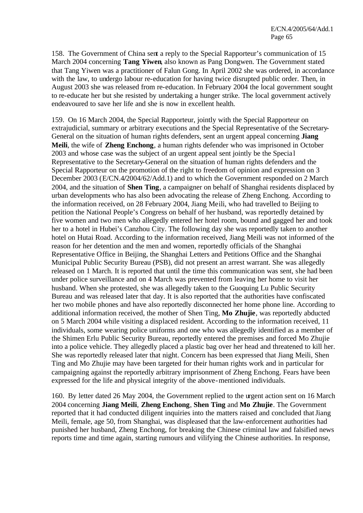158. The Government of China sent a reply to the Special Rapporteur's communication of 15 March 2004 concerning **Tang Yiwen**, also known as Pang Dongwen. The Government stated that Tang Yiwen was a practitioner of Falun Gong. In April 2002 she was ordered, in accordance with the law, to undergo labour re-education for having twice disrupted public order. Then, in August 2003 she was released from re-education. In February 2004 the local government sought to re-educate her but she resisted by undertaking a hunger strike. The local government actively endeavoured to save her life and she is now in excellent health.

159. On 16 March 2004, the Special Rapporteur, jointly with the Special Rapporteur on extrajudicial, summary or arbitrary executions and the Special Representative of the Secretary-General on the situation of human rights defenders, sent an urgent appeal concerning **Jiang Meili**, the wife of **Zheng Enchong**, a human rights defender who was imprisoned in October 2003 and whose case was the subject of an urgent appeal sent jointly be the Specia l Representative to the Secretary-General on the situation of human rights defenders and the Special Rapporteur on the promotion of the right to freedom of opinion and expression on 3 December 2003 (E/CN.4**/**2004/62/Add.1) and to which the Government responded on 2 March 2004, and the situation of **Shen Ting**, a campaigner on behalf of Shanghai residents displaced by urban developments who has also been advocating the release of Zheng Enchong. According to the information received, on 28 February 2004, Jiang Meili, who had travelled to Beijing to petition the National People's Congress on behalf of her husband, was reportedly detained by five women and two men who allegedly entered her hotel room, bound and gagged her and took her to a hotel in Hubei's Canzhou City. The following day she was reportedly taken to another hotel on Hutai Road. According to the information received, Jiang Meili was not informed of the reason for her detention and the men and women, reportedly officials of the Shanghai Representative Office in Beijing, the Shanghai Letters and Petitions Office and the Shanghai Municipal Public Security Bureau (PSB), did not present an arrest warrant. She was allegedly released on 1 March. It is reported that until the time this communication was sent, she had been under police surveillance and on 4 March was prevented from leaving her home to visit her husband. When she protested, she was allegedly taken to the Guoquing Lu Public Security Bureau and was released later that day. It is also reported that the authorities have confiscated her two mobile phones and have also reportedly disconnected her home phone line. According to additional information received, the mother of Shen Ting, **Mo Zhujie**, was reportedly abducted on 5 March 2004 while visiting a displaced resident. According to the information received, 11 individuals, some wearing police uniforms and one who was allegedly identified as a member of the Shimen Erlu Public Security Bureau, reportedly entered the premises and forced Mo Zhujie into a police vehicle. They allegedly placed a plastic bag over her head and threatened to kill her. She was reportedly released later that night. Concern has been expressed that Jiang Meili, Shen Ting and Mo Zhujie may have been targeted for their human rights work and in particular for campaigning against the reportedly arbitrary imprisonment of Zheng Enchong. Fears have been expressed for the life and physical integrity of the above-mentioned individuals.

160. By letter dated 26 May 2004, the Government replied to the urgent action sent on 16 March 2004 concerning **Jiang Meili**, **Zheng Enchong**, **Shen Ting** and **Mo Zhujie**. The Government reported that it had conducted diligent inquiries into the matters raised and concluded that Jiang Meili, female, age 50, from Shanghai, was displeased that the law-enforcement authorities had punished her husband, Zheng Enchong, for breaking the Chinese criminal law and falsified news reports time and time again, starting rumours and vilifying the Chinese authorities. In response,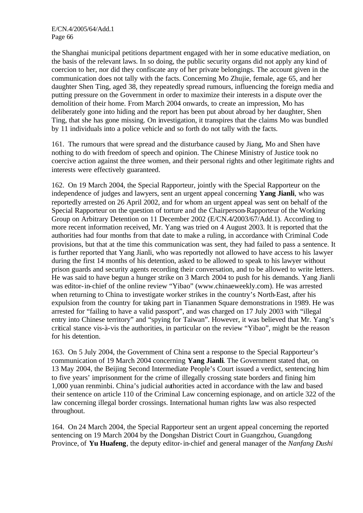the Shanghai municipal petitions department engaged with her in some educative mediation, on the basis of the relevant laws. In so doing, the public security organs did not apply any kind of coercion to her, nor did they confiscate any of her private belongings. The account given in the communication does not tally with the facts. Concerning Mo Zhujie, female, age 65, and her daughter Shen Ting, aged 38, they repeatedly spread rumours, influencing the foreign media and putting pressure on the Government in order to maximize their interests in a dispute over the demolition of their home. From March 2004 onwards, to create an impression, Mo has deliberately gone into hiding and the report has been put about abroad by her daughter, Shen Ting, that she has gone missing. On investigation, it transpires that the claims Mo was bundled by 11 individuals into a police vehicle and so forth do not tally with the facts.

161. The rumours that were spread and the disturbance caused by Jiang, Mo and Shen have nothing to do with freedom of speech and opinion. The Chinese Ministry of Justice took no coercive action against the three women, and their personal rights and other legitimate rights and interests were effectively guaranteed.

162. On 19 March 2004, the Special Rapporteur, jointly with the Special Rapporteur on the independence of judges and lawyers, sent an urgent appeal concerning **Yang Jianli**, who was reportedly arrested on 26 April 2002, and for whom an urgent appeal was sent on behalf of the Special Rapporteur on the question of torture and the Chairperson-Rapporteur of the Working Group on Arbitrary Detention on 11 December 2002 (E/CN.4**/**2003/67/Add.1). According to more recent information received, Mr. Yang was tried on 4 August 2003. It is reported that the authorities had four months from that date to make a ruling, in accordance with Criminal Code provisions, but that at the time this communication was sent, they had failed to pass a sentence. It is further reported that Yang Jianli, who was reportedly not allowed to have access to his lawyer during the first 14 months of his detention, asked to be allowed to speak to his lawyer without prison guards and security agents recording their conversation, and to be allowed to write letters. He was said to have begun a hunger strike on 3 March 2004 to push for his demands. Yang Jianli was editor-in-chief of the online review "Yibao" (www.chinaeweekly.com). He was arrested when returning to China to investigate worker strikes in the country's North-East, after his expulsion from the country for taking part in Tiananmen Square demonstrations in 1989. He was arrested for "failing to have a valid passport", and was charged on 17 July 2003 with "illegal entry into Chinese territory" and "spying for Taiwan". However, it was believed that Mr. Yang's critical stance vis-à-vis the authorities, in particular on the review "Yibao", might be the reason for his detention.

163. On 5 July 2004, the Government of China sent a response to the Special Rapporteur's communication of 19 March 2004 concerning **Yang Jianli**. The Government stated that, on 13 May 2004, the Beijing Second Intermediate People's Court issued a verdict, sentencing him to five years' imprisonment for the crime of illegally crossing state borders and fining him 1,000 yuan renminbi. China's judicial authorities acted in accordance with the law and based their sentence on article 110 of the Criminal Law concerning espionage, and on article 322 of the law concerning illegal border crossings. International human rights law was also respected throughout.

164. On 24 March 2004, the Special Rapporteur sent an urgent appeal concerning the reported sentencing on 19 March 2004 by the Dongshan District Court in Guangzhou, Guangdong Province, of **Yu Huafeng**, the deputy editor-in-chief and general manager of the *Nanfang Dushi*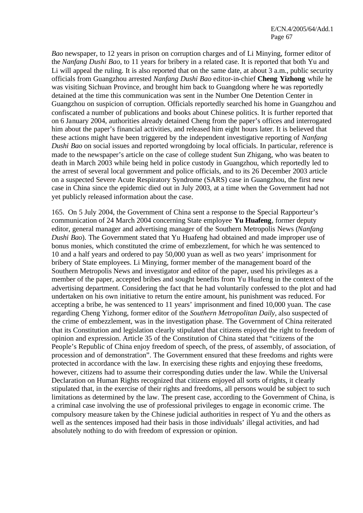*Bao* newspaper, to 12 years in prison on corruption charges and of Li Minying, former editor of the *Nanfang Dushi Bao*, to 11 years for bribery in a related case. It is reported that both Yu and Li will appeal the ruling. It is also reported that on the same date, at about 3 a.m., public security officials from Guangzhou arrested *Nanfang Dushi Bao* editor-in-chief **Cheng Yizhong** while he was visiting Sichuan Province, and brought him back to Guangdong where he was reportedly detained at the time this communication was sent in the Number One Detention Center in Guangzhou on suspicion of corruption. Officials reportedly searched his home in Guangzhou and confiscated a number of publications and books about Chinese politics. It is further reported that on 6 January 2004, authorities already detained Cheng from the paper's offices and interrogated him about the paper's financial activities, and released him eight hours later. It is believed that these actions might have been triggered by the independent investigative reporting of *Nanfang Dushi Bao* on social issues and reported wrongdoing by local officials. In particular, reference is made to the newspaper's article on the case of college student Sun Zhigang, who was beaten to death in March 2003 while being held in police custody in Guangzhou, which reportedly led to the arrest of several local government and police officials, and to its 26 December 2003 article on a suspected Severe Acute Respiratory Syndrome (SARS) case in Guangzhou, the first new case in China since the epidemic died out in July 2003, at a time when the Government had not yet publicly released information about the case.

165. On 5 July 2004, the Government of China sent a response to the Special Rapporteur's communication of 24 March 2004 concerning State employee **Yu Huafeng**, former deputy editor, general manager and advertising manager of the Southern Metropolis News (*Nanfang Dushi Bao*). The Government stated that Yu Huafeng had obtained and made improper use of bonus monies, which constituted the crime of embezzlement, for which he was sentenced to 10 and a half years and ordered to pay 50,000 yuan as well as two years' imprisonment for bribery of State employees. Li Minying, former member of the management board of the Southern Metropolis News and investigator and editor of the paper, used his privileges as a member of the paper, accepted bribes and sought benefits from Yu Huafeng in the context of the advertising department. Considering the fact that he had voluntarily confessed to the plot and had undertaken on his own initiative to return the entire amount, his punishment was reduced. For accepting a bribe, he was sentenced to 11 years' imprisonment and fined 10,000 yuan. The case regarding Cheng Yizhong, former editor of the *Southern Metropolitan Daily*, also suspected of the crime of embezzlement, was in the investigation phase. The Government of China reiterated that its Constitution and legislation clearly stipulated that citizens enjoyed the right to freedom of opinion and expression. Article 35 of the Constitution of China stated that "citizens of the People's Republic of China enjoy freedom of speech, of the press, of assembly, of association, of procession and of demonstration". The Government ensured that these freedoms and rights were protected in accordance with the law. In exercising these rights and enjoying these freedoms, however, citizens had to assume their corresponding duties under the law. While the Universal Declaration on Human Rights recognized that citizens enjoyed all sorts of rights, it clearly stipulated that, in the exercise of their rights and freedoms, all persons would be subject to such limitations as determined by the law. The present case, according to the Government of China, is a criminal case involving the use of professional privileges to engage in economic crime. The compulsory measure taken by the Chinese judicial authorities in respect of Yu and the others as well as the sentences imposed had their basis in those individuals' illegal activities, and had absolutely nothing to do with freedom of expression or opinion.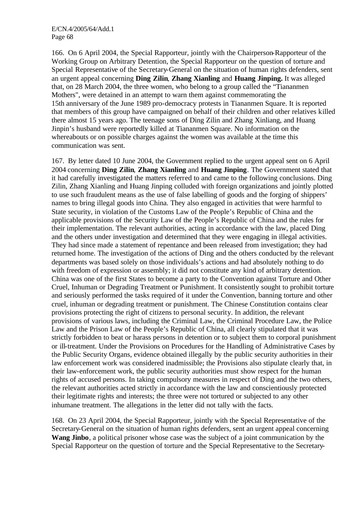166. On 6 April 2004, the Special Rapporteur, jointly with the Chairperson-Rapporteur of the Working Group on Arbitrary Detention, the Special Rapporteur on the question of torture and Special Representative of the Secretary-General on the situation of human rights defenders, sent an urgent appeal concerning **Ding Zilin**, **Zhang Xianling** and **Huang Jinping.** It was alleged that, on 28 March 2004, the three women, who belong to a group called the "Tiananmen Mothers", were detained in an attempt to warn them against commemorating the 15th anniversary of the June 1989 pro-democracy protests in Tiananmen Square. It is reported that members of this group have campaigned on behalf of their children and other relatives killed there almost 15 years ago. The teenage sons of Ding Zilin and Zhang Xinliang, and Huang Jinpin's husband were reportedly killed at Tiananmen Square. No information on the whereabouts or on possible charges against the women was available at the time this communication was sent.

167. By letter dated 10 June 2004, the Government replied to the urgent appeal sent on 6 April 2004 concerning **Ding Zilin**, **Zhang Xianling** and **Huang Jinping**. The Government stated that it had carefully investigated the matters referred to and came to the following conclusions. Ding Zilin, Zhang Xianling and Huang Jinping colluded with foreign organizations and jointly plotted to use such fraudulent means as the use of false labelling of goods and the forging of shippers' names to bring illegal goods into China. They also engaged in activities that were harmful to State security, in violation of the Customs Law of the People's Republic of China and the applicable provisions of the Security Law of the People's Republic of China and the rules for their implementation. The relevant authorities, acting in accordance with the law, placed Ding and the others under investigation and determined that they were engaging in illegal activities. They had since made a statement of repentance and been released from investigation; they had returned home. The investigation of the actions of Ding and the others conducted by the relevant departments was based solely on those individuals's actions and had absolutely nothing to do with freedom of expression or assembly; it did not constitute any kind of arbitrary detention. China was one of the first States to become a party to the Convention against Torture and Other Cruel, Inhuman or Degrading Treatment or Punishment. It consistently sought to prohibit torture and seriously performed the tasks required of it under the Convention, banning torture and other cruel, inhuman or degrading treatment or punishment. The Chinese Constitution contains clear provisions protecting the right of citizens to personal security. In addition, the relevant provisions of various laws, including the Criminal Law, the Criminal Procedure Law, the Police Law and the Prison Law of the People's Republic of China, all clearly stipulated that it was strictly forbidden to beat or harass persons in detention or to subject them to corporal punishment or ill-treatment. Under the Provisions on Procedures for the Handling of Administrative Cases by the Public Security Organs, evidence obtained illegally by the public security authorities in their law enforcement work was considered inadmissible; the Provisions also stipulate clearly that, in their law-enforcement work, the public security authorities must show respect for the human rights of accused persons. In taking compulsory measures in respect of Ding and the two others, the relevant authorities acted strictly in accordance with the law and conscientiously protected their legitimate rights and interests; the three were not tortured or subjected to any other inhumane treatment. The allegations in the letter did not tally with the facts.

168. On 23 April 2004, the Special Rapporteur, jointly with the Special Representative of the Secretary-General on the situation of human rights defenders, sent an urgent appeal concerning **Wang Jinbo**, a political prisoner whose case was the subject of a joint communication by the Special Rapporteur on the question of torture and the Special Representative to the Secretary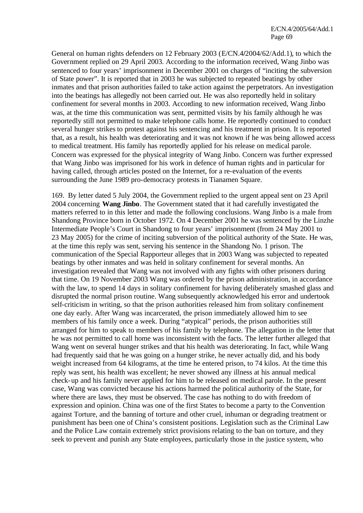General on human rights defenders on 12 February 2003 (E/CN.4**/**2004/62/Add.1), to which the Government replied on 29 April 2003. According to the information received, Wang Jinbo was sentenced to four years' imprisonment in December 2001 on charges of "inciting the subversion of State power". It is reported that in 2003 he was subjected to repeated beatings by other inmates and that prison authorities failed to take action against the perpetrators. An investigation into the beatings has allegedly not been carried out. He was also reportedly held in solitary confinement for several months in 2003. According to new information received, Wang Jinbo was, at the time this communication was sent, permitted visits by his family although he was reportedly still not permitted to make telephone calls home. He reportedly continued to conduct several hunger strikes to protest against his sentencing and his treatment in prison. It is reported that, as a result, his health was deteriorating and it was not known if he was being allowed access to medical treatment. His family has reportedly applied for his release on medical parole. Concern was expressed for the physical integrity of Wang Jinbo. Concern was further expressed that Wang Jinbo was imprisoned for his work in defence of human rights and in particular for having called, through articles posted on the Internet, for a re-evaluation of the events surrounding the June 1989 pro-democracy protests in Tianamen Square.

169. By letter dated 5 July 2004, the Government replied to the urgent appeal sent on 23 April 2004 concerning **Wang Jinbo**. The Government stated that it had carefully investigated the matters referred to in this letter and made the following conclusions. Wang Jinbo is a male from Shandong Province born in October 1972. On 4 December 2001 he was sentenced by the Linzhe Intermediate People's Court in Shandong to four years' imprisonment (from 24 May 2001 to 23 May 2005) for the crime of inciting subversion of the political authority of the State. He was, at the time this reply was sent, serving his sentence in the Shandong No. 1 prison. The communication of the Special Rapporteur alleges that in 2003 Wang was subjected to repeated beatings by other inmates and was held in solitary confinement for several months. An investigation revealed that Wang was not involved with any fights with other prisoners during that time. On 19 November 2003 Wang was ordered by the prison administration, in accordance with the law, to spend 14 days in solitary confinement for having deliberately smashed glass and disrupted the normal prison routine. Wang subsequently acknowledged his error and undertook self-criticism in writing, so that the prison authorities released him from solitary confinement one day early. After Wang was incarcerated, the prison immediately allowed him to see members of his family once a week. During "atypical" periods, the prison authorities still arranged for him to speak to members of his family by telephone. The allegation in the letter that he was not permitted to call home was inconsistent with the facts. The letter further alleged that Wang went on several hunger strikes and that his health was deteriorating. In fact, while Wang had frequently said that he was going on a hunger strike, he never actually did, and his body weight increased from 64 kilograms, at the time he entered prison, to 74 kilos. At the time this reply was sent, his health was excellent; he never showed any illness at his annual medical check-up and his family never applied for him to be released on medical parole. In the present case, Wang was convicted because his actions harmed the political authority of the State, for where there are laws, they must be observed. The case has nothing to do with freedom of expression and opinion. China was one of the first States to become a party to the Convention against Torture, and the banning of torture and other cruel, inhuman or degrading treatment or punishment has been one of China's consistent positions. Legislation such as the Criminal Law and the Police Law contain extremely strict provisions relating to the ban on torture, and they seek to prevent and punish any State employees, particularly those in the justice system, who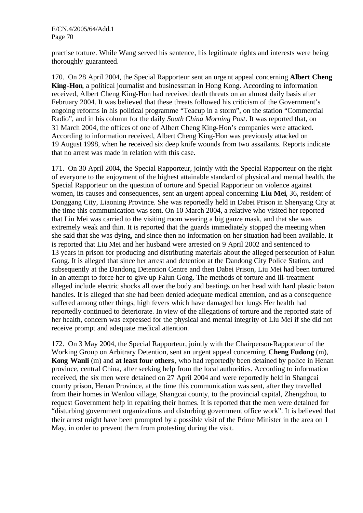practise torture. While Wang served his sentence, his legitimate rights and interests were being thoroughly guaranteed.

170. On 28 April 2004, the Special Rapporteur sent an urgent appeal concerning **Albert Cheng King-Hon**, a political journalist and businessman in Hong Kong. According to information received, Albert Cheng King-Hon had received death threats on an almost daily basis after February 2004. It was believed that these threats followed his criticism of the Government's ongoing reforms in his political programme "Teacup in a storm", on the station "Commercial Radio", and in his column for the daily *South China Morning Post*. It was reported that, on 31 March 2004, the offices of one of Albert Cheng King-Hon's companies were attacked. According to information received, Albert Cheng King-Hon was previously attacked on 19 August 1998, when he received six deep knife wounds from two assailants. Reports indicate that no arrest was made in relation with this case.

171. On 30 April 2004, the Special Rapporteur, jointly with the Special Rapporteur on the right of everyone to the enjoyment of the highest attainable standard of physical and mental health, the Special Rapporteur on the question of torture and Special Rapporteur on violence against women, its causes and consequences, sent an urgent appeal concerning **Liu Mei**, 36, resident of Donggang City, Liaoning Province. She was reportedly held in Dabei Prison in Shenyang City at the time this communication was sent. On 10 March 2004, a relative who visited her reported that Liu Mei was carried to the visiting room wearing a big gauze mask, and that she was extremely weak and thin. It is reported that the guards immediately stopped the meeting when she said that she was dying, and since then no information on her situation had been available. It is reported that Liu Mei and her husband were arrested on 9 April 2002 and sentenced to 13 years in prison for producing and distributing materials about the alleged persecution of Falun Gong. It is alleged that since her arrest and detention at the Dandong City Police Station, and subsequently at the Dandong Detention Centre and then Dabei Prison, Liu Mei had been tortured in an attempt to force her to give up Falun Gong. The methods of torture and ill-treatment alleged include electric shocks all over the body and beatings on her head with hard plastic baton handles. It is alleged that she had been denied adequate medical attention, and as a consequence suffered among other things, high fevers which have damaged her lungs Her health had reportedly continued to deteriorate. In view of the allegations of torture and the reported state of her health, concern was expressed for the physical and mental integrity of Liu Mei if she did not receive prompt and adequate medical attention.

172. On 3 May 2004, the Special Rapporteur, jointly with the Chairperson-Rapporteur of the Working Group on Arbitrary Detention, sent an urgent appeal concerning **Cheng Fudong** (m), **Kong Wanli** (m) and **at least four others**, who had reportedly been detained by police in Henan province, central China, after seeking help from the local authorities. According to information received, the six men were detained on 27 April 2004 and were reportedly held in Shangcai county prison, Henan Province, at the time this communication was sent, after they travelled from their homes in Wenlou village, Shangcai county, to the provincial capital, Zhengzhou, to request Government help in repairing their homes. It is reported that the men were detained for "disturbing government organizations and disturbing government office work". It is believed that their arrest might have been prompted by a possible visit of the Prime Minister in the area on 1 May, in order to prevent them from protesting during the visit.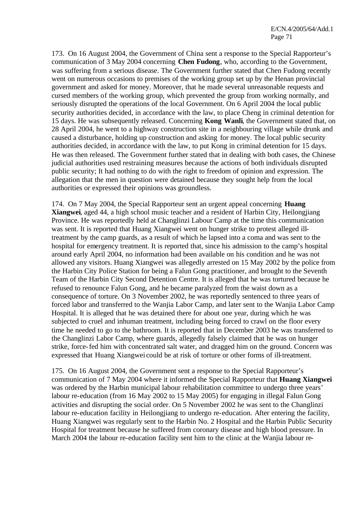173. On 16 August 2004, the Government of China sent a response to the Special Rapporteur's communication of 3 May 2004 concerning **Chen Fudong**, who, according to the Government, was suffering from a serious disease. The Government further stated that Chen Fudong recently went on numerous occasions to premises of the working group set up by the Henan provincial government and asked for money. Moreover, that he made several unreasonable requests and cursed members of the working group, which prevented the group from working normally, and seriously disrupted the operations of the local Government. On 6 April 2004 the local public security authorities decided, in accordance with the law, to place Cheng in criminal detention for 15 days. He was subsequently released. Concerning **Kong Wanli**, the Government stated that, on 28 April 2004, he went to a highway construction site in a neighbouring village while drunk and caused a disturbance, holding up construction and asking for money. The local public security authorities decided, in accordance with the law, to put Kong in criminal detention for 15 days. He was then released. The Government further stated that in dealing with both cases, the Chinese judicial authorities used restraining measures because the actions of both individuals disrupted public security; It had nothing to do with the right to freedom of opinion and expression. The allegation that the men in question were detained because they sought help from the local authorities or expressed their opinions was groundless.

174. On 7 May 2004, the Special Rapporteur sent an urgent appeal concerning **Huang Xiangwei**, aged 44, a high school music teacher and a resident of Harbin City, Heilongjiang Province. He was reportedly held at Changlinzi Labour Camp at the time this communication was sent. It is reported that Huang Xiangwei went on hunger strike to protest alleged illtreatment by the camp guards, as a result of which he lapsed into a coma and was sent to the hospital for emergency treatment. It is reported that, since his admission to the camp's hospital around early April 2004, no information had been available on his condition and he was not allowed any visitors. Huang Xiangwei was allegedly arrested on 15 May 2002 by the police from the Harbin City Police Station for being a Falun Gong practitioner, and brought to the Seventh Team of the Harbin City Second Detention Centre. It is alleged that he was tortured because he refused to renounce Falun Gong, and he became paralyzed from the waist down as a consequence of torture. On 3 November 2002, he was reportedly sentenced to three years of forced labor and transferred to the Wanjia Labor Camp, and later sent to the Wanjia Labor Camp Hospital. It is alleged that he was detained there for about one year, during which he was subjected to cruel and inhuman treatment, including being forced to crawl on the floor every time he needed to go to the bathroom. It is reported that in December 2003 he was transferred to the Changlinzi Labor Camp, where guards, allegedly falsely claimed that he was on hunger strike, force-fed him with concentrated salt water, and dragged him on the ground. Concern was expressed that Huang Xiangwei could be at risk of torture or other forms of ill-treatment.

175. On 16 August 2004, the Government sent a response to the Special Rapporteur's communication of 7 May 2004 where it informed the Special Rapporteur that **Huang Xiangwei** was ordered by the Harbin municipal labour rehabilitation committee to undergo three years' labour re-education (from 16 May 2002 to 15 May 2005) for engaging in illegal Falun Gong activities and disrupting the social order. On 5 November 2002 he was sent to the Changlinzi labour re-education facility in Heilongjiang to undergo re-education. After entering the facility, Huang Xiangwei was regularly sent to the Harbin No. 2 Hospital and the Harbin Public Security Hospital for treatment because he suffered from coronary disease and high blood pressure. In March 2004 the labour re-education facility sent him to the clinic at the Wanjia labour re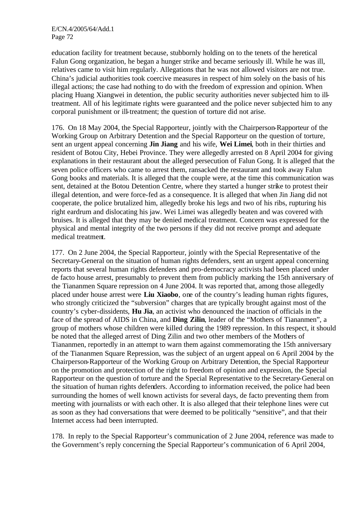education facility for treatment because, stubbornly holding on to the tenets of the heretical Falun Gong organization, he began a hunger strike and became seriously ill. While he was ill, relatives came to visit him regularly. Allegations that he was not allowed visitors are not true. China's judicial authorities took coercive measures in respect of him solely on the basis of his illegal actions; the case had nothing to do with the freedom of expression and opinion. When placing Huang Xiangwei in detention, the public security authorities never subjected him to illtreatment. All of his legitimate rights were guaranteed and the police never subjected him to any corporal punishment or ill-treatment; the question of torture did not arise.

176. On 18 May 2004, the Special Rapporteur, jointly with the Chairperson-Rapporteur of the Working Group on Arbitrary Detention and the Special Rapporteur on the question of torture, sent an urgent appeal concerning **Jin Jiang** and his wife, **Wei Limei**, both in their thirties and resident of Botou City, Hebei Province. They were allegedly arrested on 8 April 2004 for giving explanations in their restaurant about the alleged persecution of Falun Gong. It is alleged that the seven police officers who came to arrest them, ransacked the restaurant and took away Falun Gong books and materials. It is alleged that the couple were, at the time this communication was sent, detained at the Botou Detention Centre, where they started a hunger strike to protest their illegal detention, and were force-fed as a consequence. It is alleged that when Jin Jiang did not cooperate, the police brutalized him, allegedly broke his legs and two of his ribs, rupturing his right eardrum and dislocating his jaw. Wei Limei was allegedly beaten and was covered with bruises. It is alleged that they may be denied medical treatment. Concern was expressed for the physical and mental integrity of the two persons if they did not receive prompt and adequate medical treatment.

177. On 2 June 2004, the Special Rapporteur, jointly with the Special Representative of the Secretary-General on the situation of human rights defenders, sent an urgent appeal concerning reports that several human rights defenders and pro-democracy activists had been placed under de facto house arrest, presumably to prevent them from publicly marking the 15th anniversary of the Tiananmen Square repression on 4 June 2004. It was reported that, among those allegedly placed under house arrest were **Liu Xiaobo**, one of the country's leading human rights figures, who strongly criticized the "subversion" charges that are typically brought against most of the country's cyber-dissidents, **Hu Jia**, an activist who denounced the inaction of officials in the face of the spread of AIDS in China, and **Ding Zilin**, leader of the "Mothers of Tiananmen", a group of mothers whose children were killed during the 1989 repression. In this respect, it should be noted that the alleged arrest of Ding Zilin and two other members of the Mothers of Tiananmen, reportedly in an attempt to warn them against commemorating the 15th anniversary of the Tiananmen Square Repression, was the subject of an urgent appeal on 6 April 2004 by the Chairperson-Rapporteur of the Working Group on Arbitrary Detention, the Special Rapporteur on the promotion and protection of the right to freedom of opinion and expression, the Special Rapporteur on the question of torture and the Special Representative to the Secretary-General on the situation of human rights defenders. According to information received, the police had been surrounding the homes of well known activists for several days, de facto preventing them from meeting with journalists or with each other. It is also alleged that their telephone lines were cut as soon as they had conversations that were deemed to be politically "sensitive", and that their Internet access had been interrupted.

178. In reply to the Special Rapporteur's communication of 2 June 2004, reference was made to the Government's reply concerning the Special Rapporteur's communication of 6 April 2004,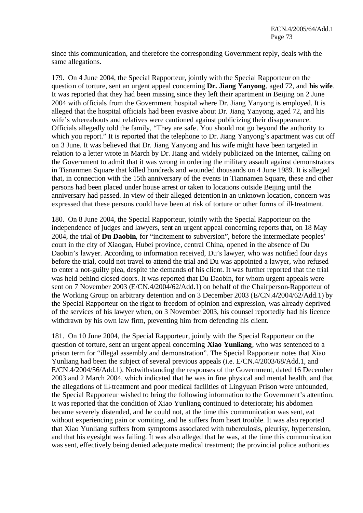since this communication, and therefore the corresponding Government reply, deals with the same allegations.

179. On 4 June 2004, the Special Rapporteur, jointly with the Special Rapporteur on the question of torture, sent an urgent appeal concerning **Dr. Jiang Yanyong**, aged 72, and **his wife**. It was reported that they had been missing since they left their apartment in Beijing on 2 June 2004 with officials from the Government hospital where Dr. Jiang Yanyong is employed. It is alleged that the hospital officials had been evasive about Dr. Jiang Yanyong, aged 72, and his wife's whereabouts and relatives were cautioned against publicizing their disappearance. Officials allegedly told the family, "They are safe. You should not go beyond the authority to which you report." It is reported that the telephone to Dr. Jiang Yanyong's apartment was cut off on 3 June. It was believed that Dr. Jiang Yanyong and his wife might have been targeted in relation to a letter wrote in March by Dr. Jiang and widely publicized on the Internet, calling on the Government to admit that it was wrong in ordering the military assault against demonstrators in Tiananmen Square that killed hundreds and wounded thousands on 4 June 1989. It is alleged that, in connection with the 15th anniversary of the events in Tiannamen Square, these and other persons had been placed under house arrest or taken to locations outside Beijing until the anniversary had passed. In view of their alleged detention in an unknown location, concern was expressed that these persons could have been at risk of torture or other forms of ill-treatment.

180. On 8 June 2004, the Special Rapporteur, jointly with the Special Rapporteur on the independence of judges and lawyers, sent an urgent appeal concerning reports that, on 18 May 2004, the trial of **Du Daobin**, for "incitement to subversion", before the intermediate peoples' court in the city of Xiaogan, Hubei province, central China, opened in the absence of Du Daobin's lawyer. According to information received, Du's lawyer, who was notified four days before the trial, could not travel to attend the trial and Du was appointed a lawyer, who refused to enter a not-guilty plea, despite the demands of his client. It was further reported that the trial was held behind closed doors. It was reported that Du Daobin, for whom urgent appeals were sent on 7 November 2003 (E/CN.4**/**2004/62/Add.1) on behalf of the Chairperson-Rapporteur of the Working Group on arbitrary detention and on 3 December 2003 (E/CN.4**/**2004/62/Add.1) by the Special Rapporteur on the right to freedom of opinion and expression, was already deprived of the services of his lawyer when, on 3 November 2003, his counsel reportedly had his licence withdrawn by his own law firm, preventing him from defending his client.

181. On 10 June 2004, the Special Rapporteur, jointly with the Special Rapporteur on the question of torture, sent an urgent appeal concerning **Xiao Yunliang**, who was sentenced to a prison term for "illegal assembly and demonstration". The Special Rapporteur notes that Xiao Yunliang had been the subject of several previous appeals (i.e. E/CN.4/2003/68/Add.1, and E/CN.4/2004/56/Add.1). Notwithstanding the responses of the Government, dated 16 December 2003 and 2 March 2004, which indicated that he was in fine physical and mental health, and that the allegations of ill-treatment and poor medical facilities of Lingyuan Prison were unfounded, the Special Rapporteur wished to bring the following information to the Government's attention. It was reported that the condition of Xiao Yunliang continued to deteriorate; his abdomen became severely distended, and he could not, at the time this communication was sent, eat without experiencing pain or vomiting, and he suffers from heart trouble. It was also reported that Xiao Yunliang suffers from symptoms associated with tuberculosis, pleurisy, hypertension, and that his eyesight was failing. It was also alleged that he was, at the time this communication was sent, effectively being denied adequate medical treatment; the provincial police authorities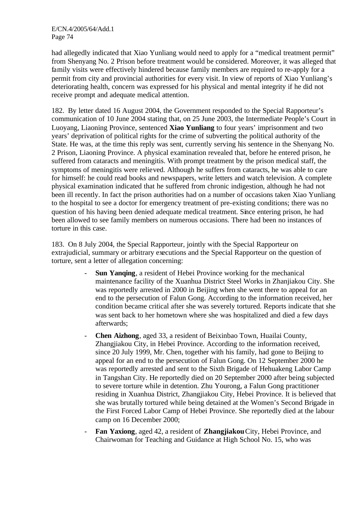had allegedly indicated that Xiao Yunliang would need to apply for a "medical treatment permit" from Shenyang No. 2 Prison before treatment would be considered. Moreover, it was alleged that family visits were effectively hindered because family members are required to re-apply for a permit from city and provincial authorities for every visit. In view of reports of Xiao Yunliang's deteriorating health, concern was expressed for his physical and mental integrity if he did not receive prompt and adequate medical attention.

182. By letter dated 16 August 2004, the Government responded to the Special Rapporteur's communication of 10 June 2004 stating that, on 25 June 2003, the Intermediate People's Court in Luoyang, Liaoning Province, sentenced **Xiao Yunliang** to four years' imprisonment and two years' deprivation of political rights for the crime of subverting the political authority of the State. He was, at the time this reply was sent, currently serving his sentence in the Shenyang No. 2 Prison, Liaoning Province. A physical examination revealed that, before he entered prison, he suffered from cataracts and meningitis. With prompt treatment by the prison medical staff, the symptoms of meningitis were relieved. Although he suffers from cataracts, he was able to care for himself: he could read books and newspapers, write letters and watch television. A complete physical examination indicated that he suffered from chronic indigestion, although he had not been ill recently. In fact the prison authorities had on a number of occasions taken Xiao Yunliang to the hospital to see a doctor for emergency treatment of pre-existing conditions; there was no question of his having been denied adequate medical treatment. Since entering prison, he had been allowed to see family members on numerous occasions. There had been no instances of torture in this case.

183. On 8 July 2004, the Special Rapporteur, jointly with the Special Rapporteur on extrajudicial, summary or arbitrary executions and the Special Rapporteur on the question of torture, sent a letter of allegation concerning:

- **Sun Yanging**, a resident of Hebei Province working for the mechanical maintenance facility of the Xuanhua District Steel Works in Zhanjiakou City. She was reportedly arrested in 2000 in Beijing when she went there to appeal for an end to the persecution of Falun Gong. According to the information received, her condition became critical after she was severely tortured. Reports indicate that she was sent back to her hometown where she was hospitalized and died a few days afterwards;
- **Chen Aizhong**, aged 33, a resident of Beixinbao Town, Huailai County, Zhangjiakou City, in Hebei Province. According to the information received, since 20 July 1999, Mr. Chen, together with his family, had gone to Beijing to appeal for an end to the persecution of Falun Gong. On 12 September 2000 he was reportedly arrested and sent to the Sixth Brigade of Hehuakeng Labor Camp in Tangshan City. He reportedly died on 20 September 2000 after being subjected to severe torture while in detention. Zhu Yourong, a Falun Gong practitioner residing in Xuanhua District, Zhangjiakou City, Hebei Province. It is believed that she was brutally tortured while being detained at the Women's Second Brigade in the First Forced Labor Camp of Hebei Province. She reportedly died at the labour camp on 16 December 2000;
- **Fan Yaxiong**, aged 42, a resident of **Zhangjiakou** City, Hebei Province, and Chairwoman for Teaching and Guidance at High School No. 15, who was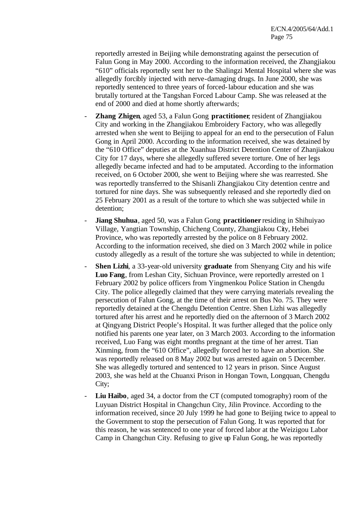reportedly arrested in Beijing while demonstrating against the persecution of Falun Gong in May 2000. According to the information received, the Zhangjiakou "610" officials reportedly sent her to the Shalingzi Mental Hospital where she was allegedly forcibly injected with nerve-damaging drugs. In June 2000, she was reportedly sentenced to three years of forced-labour education and she was brutally tortured at the Tangshan Forced Labour Camp. She was released at the end of 2000 and died at home shortly afterwards;

- **Zhang Zhigen**, aged 53, a Falun Gong **practitioner**, resident of Zhangjiakou City and working in the Zhangjiakou Embroidery Factory, who was allegedly arrested when she went to Beijing to appeal for an end to the persecution of Falun Gong in April 2000. According to the information received, she was detained by the "610 Office" deputies at the Xuanhua District Detention Center of Zhanjiakou City for 17 days, where she allegedly suffered severe torture. One of her legs allegedly became infected and had to be amputated. According to the information received, on 6 October 2000, she went to Beijing where she was rearrested. She was reportedly transferred to the Shisanli Zhangjiakou City detention centre and tortured for nine days. She was subsequently released and she reportedly died on 25 February 2001 as a result of the torture to which she was subjected while in detention;
- **Jiang Shuhua**, aged 50, was a Falun Gong **practitioner** residing in Shihuiyao Village, Yangtian Township, Chicheng County, Zhangjiakou City, Hebei Province, who was reportedly arrested by the police on 8 February 2002. According to the information received, she died on 3 March 2002 while in police custody allegedly as a result of the torture she was subjected to while in detention;
- **Shen Lizhi**, a 33-year-old university **graduate** from Shenyang City and his wife **Luo Fang**, from Leshan City, Sichuan Province, were reportedly arrested on 1 February 2002 by police officers from Yingmenkou Police Station in Chengdu City. The police allegedly claimed that they were carrying materials revealing the persecution of Falun Gong, at the time of their arrest on Bus No. 75. They were reportedly detained at the Chengdu Detention Centre. Shen Lizhi was allegedly tortured after his arrest and he reportedly died on the afternoon of 3 March 2002 at Qingyang District People's Hospital. It was further alleged that the police only notified his parents one year later, on 3 March 2003. According to the information received, Luo Fang was eight months pregnant at the time of her arrest. Tian Xinming, from the "610 Office", allegedly forced her to have an abortion. She was reportedly released on 8 May 2002 but was arrested again on 5 December. She was allegedly tortured and sentenced to 12 years in prison. Since August 2003, she was held at the Chuanxi Prison in Hongan Town, Longquan, Chengdu City;
- **Liu Haibo**, aged 34, a doctor from the CT (computed tomography) room of the Luyuan District Hospital in Changchun City, Jilin Province. According to the information received, since 20 July 1999 he had gone to Beijing twice to appeal to the Government to stop the persecution of Falun Gong. It was reported that for this reason, he was sentenced to one year of forced labor at the Weizigou Labor Camp in Changchun City. Refusing to give up Falun Gong, he was reportedly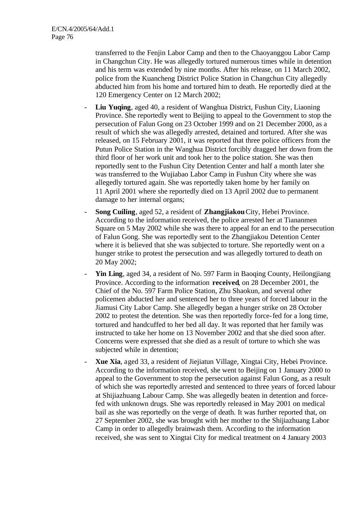transferred to the Fenjin Labor Camp and then to the Chaoyanggou Labor Camp in Changchun City. He was allegedly tortured numerous times while in detention and his term was extended by nine months. After his release, on 11 March 2002, police from the Kuancheng District Police Station in Changchun City allegedly abducted him from his home and tortured him to death. He reportedly died at the 120 Emergency Center on 12 March 2002;

- **Liu Yuqing**, aged 40, a resident of Wanghua District, Fushun City, Liaoning Province. She reportedly went to Beijing to appeal to the Government to stop the persecution of Falun Gong on 23 October 1999 and on 21 December 2000, as a result of which she was allegedly arrested, detained and tortured. After she was released, on 15 February 2001, it was reported that three police officers from the Putun Police Station in the Wanghua District forcibly dragged her down from the third floor of her work unit and took her to the police station. She was then reportedly sent to the Fushun City Detention Center and half a month later she was transferred to the Wujiabao Labor Camp in Fushun City where she was allegedly tortured again. She was reportedly taken home by her family on 11 April 2001 where she reportedly died on 13 April 2002 due to permanent damage to her internal organs;
- **Song Cuiling**, aged 52, a resident of **Zhangjiakou** City, Hebei Province. According to the information received, the police arrested her at Tiananmen Square on 5 May 2002 while she was there to appeal for an end to the persecution of Falun Gong. She was reportedly sent to the Zhangjiakou Detention Center where it is believed that she was subjected to torture. She reportedly went on a hunger strike to protest the persecution and was allegedly tortured to death on 20 May 2002;
- Yin Ling, aged 34, a resident of No. 597 Farm in Baoqing County, Heilongjiang Province. According to the information **received**, on 28 December 2001, the Chief of the No. 597 Farm Police Station, Zhu Shaokun, and several other policemen abducted her and sentenced her to three years of forced labour in the Jiamusi City Labor Camp. She allegedly began a hunger strike on 28 October 2002 to protest the detention. She was then reportedly force-fed for a long time, tortured and handcuffed to her bed all day. It was reported that her family was instructed to take her home on 13 November 2002 and that she died soon after. Concerns were expressed that she died as a result of torture to which she was subjected while in detention;
- **Xue Xia**, aged 33, a resident of Jiejiatun Village, Xingtai City, Hebei Province. According to the information received, she went to Beijing on 1 January 2000 to appeal to the Government to stop the persecution against Falun Gong, as a result of which she was reportedly arrested and sentenced to three years of forced labour at Shijiazhuang Labour Camp. She was allegedly beaten in detention and forcefed with unknown drugs. She was reportedly released in May 2001 on medical bail as she was reportedly on the verge of death. It was further reported that, on 27 September 2002, she was brought with her mother to the Shijiazhuang Labor Camp in order to allegedly brainwash them. According to the information received, she was sent to Xingtai City for medical treatment on 4 January 2003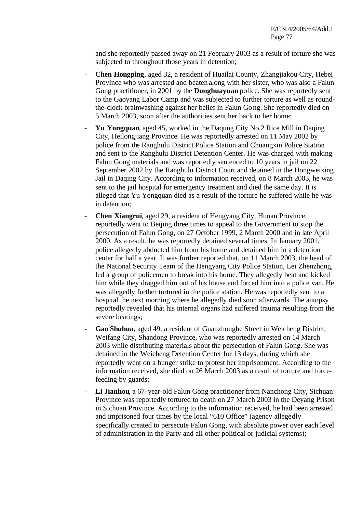and she reportedly passed away on 21 February 2003 as a result of torture she was subjected to throughout those years in detention;

- **Chen Hongping**, aged 32, a resident of Huailai County, Zhangjiakou City, Hebei Province who was arrested and beaten along with her sister, who was also a Falun Gong practitioner, in 2001 by the **Donghuayuan** police. She was reportedly sent to the Gaoyang Labor Camp and was subjected to further torture as well as roundthe-clock brainwashing against her belief in Falun Gong. She reportedly died on 5 March 2003, soon after the authorities sent her back to her home;
- **Yu Yongquan**, aged 45, worked in the Daqung City No.2 Rice Mill in Daqing City, Heilongjiang Province. He was reportedly arrested on 11 May 2002 by police from the Ranghulu District Police Station and Chuangxin Police Station and sent to the Ranghulu District Detention Center. He was charged with making Falun Gong materials and was reportedly sentenced to 10 years in jail on 22 September 2002 by the Ranghulu District Court and detained in the Hongweixing Jail in Daqing City. According to information received, on 8 March 2003, he was sent to the jail hospital for emergency treatment and died the same day. It is alleged that Yu Yongquan died as a result of the torture he suffered while he was in detention;
- **Chen Xiangrui**, aged 29, a resident of Hengyang City, Hunan Province, reportedly went to Beijing three times to appeal to the Government to stop the persecution of Falun Gong, on 27 October 1999, 2 March 2000 and in late April 2000. As a result, he was reportedly detained several times. In January 2001, police allegedly abducted him from his home and detained him in a detention center for half a year. It was further reported that, on 11 March 2003, the head of the National Security Team of the Hengyang City Police Station, Lei Zhenzhong, led a group of policemen to break into his home. They allegedly beat and kicked him while they dragged him out of his house and forced him into a police van. He was allegedly further tortured in the police station. He was reportedly sent to a hospital the next morning where he allegedly died soon afterwards. The autopsy reportedly revealed that his internal organs had suffered trauma resulting from the severe beatings;
- Gao Shuhua, aged 49, a resident of Guanzhonghe Street in Weicheng District, Weifang City, Shandong Province, who was reportedly arrested on 14 March 2003 while distributing materials about the persecution of Falun Gong. She was detained in the Weicheng Detention Center for 13 days, during which she reportedly went on a hunger strike to protest her imprisonment. According to the information received, she died on 26 March 2003 as a result of torture and forcefeeding by guards;
- **Li Jianhou**, a 67-year-old Falun Gong practitioner from Nanchong City, Sichuan Province was reportedly tortured to death on 27 March 2003 in the Deyang Prison in Sichuan Province. According to the information received, he had been arrested and imprisoned four times by the local "610 Office" (agency allegedly specifically created to persecute Falun Gong, with absolute power over each level of administration in the Party and all other political or judicial systems);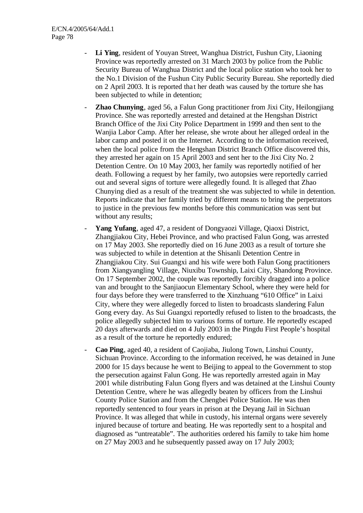- Li Ying, resident of Youyan Street, Wanghua District, Fushun City, Liaoning Province was reportedly arrested on 31 March 2003 by police from the Public Security Bureau of Wanghua District and the local police station who took her to the No.1 Division of the Fushun City Public Security Bureau. She reportedly died on 2 April 2003. It is reported tha t her death was caused by the torture she has been subjected to while in detention;
- **Zhao Chunying**, aged 56, a Falun Gong practitioner from Jixi City, Heilongjiang Province. She was reportedly arrested and detained at the Hengshan District Branch Office of the Jixi City Police Department in 1999 and then sent to the Wanjia Labor Camp. After her release, she wrote about her alleged ordeal in the labor camp and posted it on the Internet. According to the information received, when the local police from the Hengshan District Branch Office discovered this, they arrested her again on 15 April 2003 and sent her to the Jixi City No. 2 Detention Centre. On 10 May 2003, her family was reportedly notified of her death. Following a request by her family, two autopsies were reportedly carried out and several signs of torture were allegedly found. It is alleged that Zhao Chunying died as a result of the treatment she was subjected to while in detention. Reports indicate that her family tried by different means to bring the perpetrators to justice in the previous few months before this communication was sent but without any results;
- **Yang Yufang**, aged 47, a resident of Dongyaozi Village, Qiaoxi District, Zhangjiakou City, Hebei Province, and who practised Falun Gong, was arrested on 17 May 2003. She reportedly died on 16 June 2003 as a result of torture she was subjected to while in detention at the Shisanli Detention Centre in Zhangjiakou City. Sui Guangxi and his wife were both Falun Gong practitioners from Xiangyangling Village, Niuxibu Township, Laixi City, Shandong Province. On 17 September 2002, the couple was reportedly forcibly dragged into a police van and brought to the Sanjiaocun Elementary School, where they were held for four days before they were transferred to the Xinzhuang "610 Office" in Laixi City, where they were allegedly forced to listen to broadcasts slandering Falun Gong every day. As Sui Guangxi reportedly refused to listen to the broadcasts, the police allegedly subjected him to various forms of torture. He reportedly escaped 20 days afterwards and died on 4 July 2003 in the Pingdu First People's hospital as a result of the torture he reportedly endured;
- **Cao Ping**, aged 40, a resident of Caojiaba, Jiulong Town, Linshui County, Sichuan Province. According to the information received, he was detained in June 2000 for 15 days because he went to Beijing to appeal to the Government to stop the persecution against Falun Gong. He was reportedly arrested again in May 2001 while distributing Falun Gong flyers and was detained at the Linshui County Detention Centre, where he was allegedly beaten by officers from the Linshui County Police Station and from the Chengbei Police Station. He was then reportedly sentenced to four years in prison at the Deyang Jail in Sichuan Province. It was alleged that while in custody, his internal organs were severely injured because of torture and beating. He was reportedly sent to a hospital and diagnosed as "untreatable". The authorities ordered his family to take him home on 27 May 2003 and he subsequently passed away on 17 July 2003;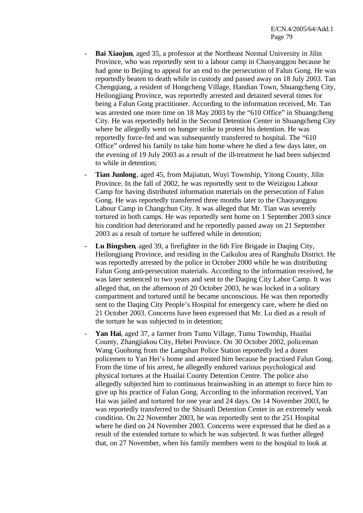- **Bai Xiaojun**, aged 35, a professor at the Northeast Normal University in Jilin Province, who was reportedly sent to a labour camp in Chaoyanggou because he had gone to Beijing to appeal for an end to the persecution of Falun Gong. He was reportedly beaten to death while in custody and passed away on 18 July 2003. Tan Chengqiang, a resident of Hongcheng Village, Handian Town, Shuangcheng City, Heilongjiang Province, was reportedly arrested and detained several times for being a Falun Gong practitioner. According to the information received, Mr. Tan was arrested one more time on 18 May 2003 by the "610 Office" in Shuangcheng City. He was reportedly held in the Second Detention Center in Shuangcheng City where he allegedly went on hunger strike to protest his detention. He was reportedly force-fed and was subsequently transferred to hospital. The "610 Office" ordered his family to take him home where he died a few days later, on the evening of 19 July 2003 as a result of the ill-treatment he had been subjected to while in detention;
- **Tian Junlong**, aged 45, from Majiatun, Wuyi Township, Yitong County, Jilin Province. In the fall of 2002, he was reportedly sent to the Weizigou Labour Camp for having distributed information materials on the persecution of Falun Gong. He was reportedly transferred three months later to the Chaoyanggou Labour Camp in Changchun City. It was alleged that Mr. Tian was severely tortured in both camps. He was reportedly sent home on 1 September 2003 since his condition had deteriorated and he reportedly passed away on 21 September 2003 as a result of torture he suffered while in detention;
- Lu Bingshen, aged 39, a firefighter in the 6th Fire Brigade in Daqing City, Heilongjiang Province, and residing in the Caikulou area of Ranghulu District. He was reportedly arrested by the police in October 2000 while he was distributing Falun Gong anti-persecution materials. According to the information received, he was later sentenced to two years and sent to the Daqing City Labor Camp. It was alleged that, on the afternoon of 20 October 2003, he was locked in a solitary compartment and tortured until he became unconscious. He was then reportedly sent to the Daqing City People's Hospital for emergency care, where he died on 21 October 2003. Concerns have been expressed that Mr. Lu died as a result of the torture he was subjected to in detention;
- Yan Hai, aged 37, a farmer from Tumu Village, Tumu Township, Huailai County, Zhangjiakou City, Hebei Province. On 30 October 2002, policeman Wang Guohong from the Langshan Police Station reportedly led a dozen policemen to Yan Hei's home and arrested him because he practised Falun Gong. From the time of his arrest, he allegedly endured various psychological and physical tortures at the Huailai County Detention Centre. The police also allegedly subjected him to continuous brainwashing in an attempt to force him to give up his practice of Falun Gong. According to the information received, Yan Hai was jailed and tortured for one year and 24 days. On 14 November 2003, he was reportedly transferred to the Shisanli Detention Center in an extremely weak condition. On 22 November 2003, he was reportedly sent to the 251 Hospital where he died on 24 November 2003. Concerns were expressed that he died as a result of the extended torture to which he was subjected. It was further alleged that, on 27 November, when his family members went to the hospital to look at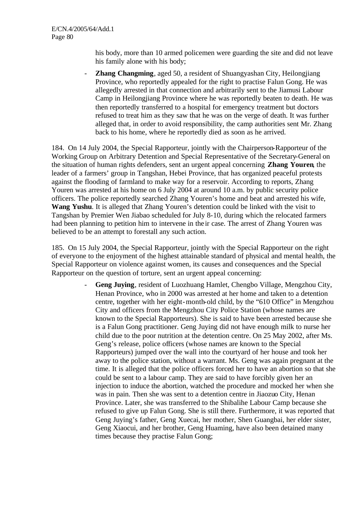his body, more than 10 armed policemen were guarding the site and did not leave his family alone with his body;

**Zhang Changming**, aged 50, a resident of Shuangyashan City, Heilongjiang Province, who reportedly appealed for the right to practise Falun Gong. He was allegedly arrested in that connection and arbitrarily sent to the Jiamusi Labour Camp in Heilongjiang Province where he was reportedly beaten to death. He was then reportedly transferred to a hospital for emergency treatment but doctors refused to treat him as they saw that he was on the verge of death. It was further alleged that, in order to avoid responsibility, the camp authorities sent Mr. Zhang back to his home, where he reportedly died as soon as he arrived.

184. On 14 July 2004, the Special Rapporteur, jointly with the Chairperson-Rapporteur of the Working Group on Arbitrary Detention and Special Representative of the Secretary-General on the situation of human rights defenders, sent an urgent appeal concerning **Zhang Youren**, the leader of a farmers' group in Tangshan, Hebei Province, that has organized peaceful protests against the flooding of farmland to make way for a reservoir. According to reports, Zhang Youren was arrested at his home on 6 July 2004 at around 10 a.m. by public security police officers. The police reportedly searched Zhang Youren's home and beat and arrested his wife, **Wang Yushu**. It is alleged that Zhang Youren's detention could be linked with the visit to Tangshan by Premier Wen Jiabao scheduled for July 8-10, during which the relocated farmers had been planning to petition him to intervene in the ir case. The arrest of Zhang Youren was believed to be an attempt to forestall any such action.

185. On 15 July 2004, the Special Rapporteur, jointly with the Special Rapporteur on the right of everyone to the enjoyment of the highest attainable standard of physical and mental health, the Special Rapporteur on violence against women, its causes and consequences and the Special Rapporteur on the question of torture, sent an urgent appeal concerning:

> - **Geng Juying**, resident of Luozhuang Hamlet, Chengbo Village, Mengzhou City, Henan Province, who in 2000 was arrested at her home and taken to a detention centre, together with her eight-month-old child, by the "610 Office" in Mengzhou City and officers from the Mengzhou City Police Station (whose names are known to the Special Rapporteurs). She is said to have been arrested because she is a Falun Gong practitioner. Geng Juying did not have enough milk to nurse her child due to the poor nutrition at the detention centre. On 25 May 2002, after Ms. Geng's release, police officers (whose names are known to the Special Rapporteurs) jumped over the wall into the courtyard of her house and took her away to the police station, without a warrant. Ms. Geng was again pregnant at the time. It is alleged that the police officers forced her to have an abortion so that she could be sent to a labour camp. They are said to have forcibly given her an injection to induce the abortion, watched the procedure and mocked her when she was in pain. Then she was sent to a detention centre in Jiaozuo City, Henan Province. Later, she was transferred to the Shibalihe Labour Camp because she refused to give up Falun Gong. She is still there. Furthermore, it was reported that Geng Juying's father, Geng Xuecai, her mother, Shen Guangbai, her elder sister, Geng Xiaocui, and her brother, Geng Huaming, have also been detained many times because they practise Falun Gong;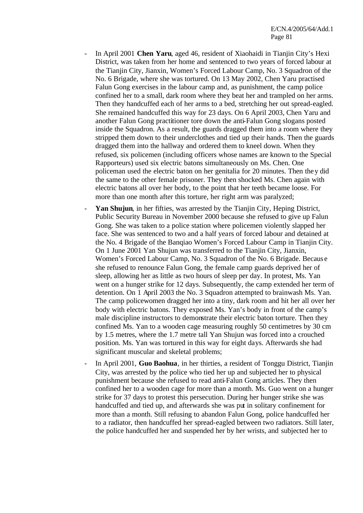- In April 2001 **Chen Yaru**, aged 46, resident of Xiaohaidi in Tianjin City's Hexi District, was taken from her home and sentenced to two years of forced labour at the Tianjin City, Jianxin, Women's Forced Labour Camp, No. 3 Squadron of the No. 6 Brigade, where she was tortured. On 13 May 2002, Chen Yaru practised Falun Gong exercises in the labour camp and, as punishment, the camp police confined her to a small, dark room where they beat her and trampled on her arms. Then they handcuffed each of her arms to a bed, stretching her out spread-eagled. She remained handcuffed this way for 23 days. On 6 April 2003, Chen Yaru and another Falun Gong practitioner tore down the anti-Falun Gong slogans posted inside the Squadron. As a result, the guards dragged them into a room where they stripped them down to their underclothes and tied up their hands. Then the guards dragged them into the hallway and ordered them to kneel down. When they refused, six policemen (including officers whose names are known to the Special Rapporteurs) used six electric batons simultaneously on Ms. Chen. One policeman used the electric baton on her genitalia for 20 minutes. Then they did the same to the other female prisoner. They then shocked Ms. Chen again with electric batons all over her body, to the point that her teeth became loose. For more than one month after this torture, her right arm was paralyzed;
- **Yan Shujun**, in her fifties, was arrested by the Tianjin City, Heping District, Public Security Bureau in November 2000 because she refused to give up Falun Gong. She was taken to a police station where policemen violently slapped her face. She was sentenced to two and a half years of forced labour and detained at the No. 4 Brigade of the Banqiao Women's Forced Labour Camp in Tianjin City. On 1 June 2001 Yan Shujun was transferred to the Tianjin City, Jianxin, Women's Forced Labour Camp, No. 3 Squadron of the No. 6 Brigade. Becaus e she refused to renounce Falun Gong, the female camp guards deprived her of sleep, allowing her as little as two hours of sleep per day. In protest, Ms. Yan went on a hunger strike for 12 days. Subsequently, the camp extended her term of detention. On 1 April 2003 the No. 3 Squadron attempted to brainwash Ms. Yan. The camp policewomen dragged her into a tiny, dark room and hit her all over her body with electric batons. They exposed Ms. Yan's body in front of the camp's male discipline instructors to demonstrate their electric baton torture. Then they confined Ms. Yan to a wooden cage measuring roughly 50 centimetres by 30 cm by 1.5 metres, where the 1.7 metre tall Yan Shujun was forced into a crouched position. Ms. Yan was tortured in this way for eight days. Afterwards she had significant muscular and skeletal problems;
- In April 2001, **Guo Baohua**, in her thirties, a resident of Tonggu District, Tianjin City, was arrested by the police who tied her up and subjected her to physical punishment because she refused to read anti-Falun Gong articles. They then confined her to a wooden cage for more than a month. Ms. Guo went on a hunger strike for 37 days to protest this persecution. During her hunger strike she was handcuffed and tied up, and afterwards she was put in solitary confinement for more than a month. Still refusing to abandon Falun Gong, police handcuffed her to a radiator, then handcuffed her spread-eagled between two radiators. Still later, the police handcuffed her and suspended her by her wrists, and subjected her to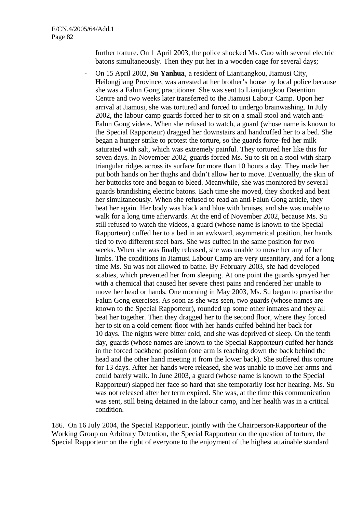further torture. On 1 April 2003, the police shocked Ms. Guo with several electric batons simultaneously. Then they put her in a wooden cage for several days;

- On 15 April 2002, **Su Yanhua**, a resident of Lianjiangkou, Jiamusi City, Heilongjiang Province, was arrested at her brother's house by local police because she was a Falun Gong practitioner. She was sent to Lianjiangkou Detention Centre and two weeks later transferred to the Jiamusi Labour Camp. Upon her arrival at Jiamusi, she was tortured and forced to undergo brainwashing. In July 2002, the labour camp guards forced her to sit on a small stool and watch anti-Falun Gong videos. When she refused to watch, a guard (whose name is known to the Special Rapporteur) dragged her downstairs and handcuffed her to a bed. She began a hunger strike to protest the torture, so the guards force-fed her milk saturated with salt, which was extremely painful. They tortured her like this for seven days. In November 2002, guards forced Ms. Su to sit on a stool with sharp triangular ridges across its surface for more than 10 hours a day. They made her put both hands on her thighs and didn't allow her to move. Eventually, the skin of her buttocks tore and began to bleed. Meanwhile, she was monitored by several guards brandishing electric batons. Each time she moved, they shocked and beat her simultaneously. When she refused to read an anti-Falun Gong article, they beat her again. Her body was black and blue with bruises, and she was unable to walk for a long time afterwards. At the end of November 2002, because Ms. Su still refused to watch the videos, a guard (whose name is known to the Special Rapporteur) cuffed her to a bed in an awkward, asymmetrical position, her hands tied to two different steel bars. She was cuffed in the same position for two weeks. When she was finally released, she was unable to move her any of her limbs. The conditions in Jiamusi Labour Camp are very unsanitary, and for a long time Ms. Su was not allowed to bathe. By February 2003, she had developed scabies, which prevented her from sleeping. At one point the guards sprayed her with a chemical that caused her severe chest pains and rendered her unable to move her head or hands. One morning in May 2003, Ms. Su began to practise the Falun Gong exercises. As soon as she was seen, two guards (whose names are known to the Special Rapporteur), rounded up some other inmates and they all beat her together. Then they dragged her to the second floor, where they forced her to sit on a cold cement floor with her hands cuffed behind her back for 10 days. The nights were bitter cold, and she was deprived of sleep. On the tenth day, guards (whose names are known to the Special Rapporteur) cuffed her hands in the forced backbend position (one arm is reaching down the back behind the head and the other hand meeting it from the lower back). She suffered this torture for 13 days. After her hands were released, she was unable to move her arms and could barely walk. In June 2003, a guard (whose name is known to the Special Rapporteur) slapped her face so hard that she temporarily lost her hearing. Ms. Su was not released after her term expired. She was, at the time this communication was sent, still being detained in the labour camp, and her health was in a critical condition.

186. On 16 July 2004, the Special Rapporteur, jointly with the Chairperson-Rapporteur of the Working Group on Arbitrary Detention, the Special Rapporteur on the question of torture, the Special Rapporteur on the right of everyone to the enjoyment of the highest attainable standard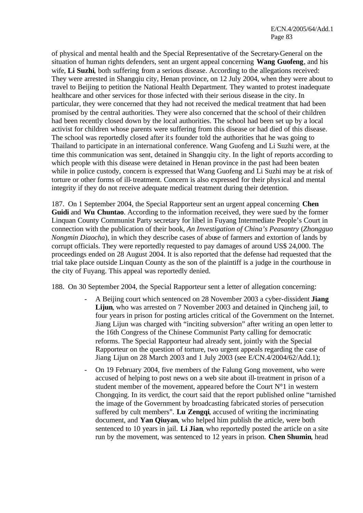of physical and mental health and the Special Representative of the Secretary-General on the situation of human rights defenders, sent an urgent appeal concerning **Wang Guofeng**, and his wife, **Li Suzhi**, both suffering from a serious disease. According to the allegations received: They were arrested in Shangqiu city, Henan province, on 12 July 2004, when they were about to travel to Beijing to petition the National Health Department. They wanted to protest inadequate healthcare and other services for those infected with their serious disease in the city. In particular, they were concerned that they had not received the medical treatment that had been promised by the central authorities. They were also concerned that the school of their children had been recently closed down by the local authorities. The school had been set up by a local activist for children whose parents were suffering from this disease or had died of this disease. The school was reportedly closed after its founder told the authorities that he was going to Thailand to participate in an international conference. Wang Guofeng and Li Suzhi were, at the time this communication was sent, detained in Shangqiu city. In the light of reports according to which people with this disease were detained in Henan province in the past had been beaten while in police custody, concern is expressed that Wang Guofeng and Li Suzhi may be at risk of torture or other forms of ill-treatment. Concern is also expressed for their physical and mental integrity if they do not receive adequate medical treatment during their detention.

187. On 1 September 2004, the Special Rapporteur sent an urgent appeal concerning **Chen**  Guidi and Wu Chuntao. According to the information received, they were sued by the former Linquan County Communist Party secretary for libel in Fuyang Intermediate People's Court in connection with the publication of their book, *An Investigation of China's Peasantry* (*Zhongguo Nongmin Diaocha*), in which they describe cases of abuse of farmers and extortion of lands by corrupt officials. They were reportedly requested to pay damages of around US\$ 24,000. The proceedings ended on 28 August 2004. It is also reported that the defense had requested that the trial take place outside Linquan County as the son of the plaintiff is a judge in the courthouse in the city of Fuyang. This appeal was reportedly denied.

188. On 30 September 2004, the Special Rapporteur sent a letter of allegation concerning:

- A Beijing court which sentenced on 28 November 2003 a cyber-dissident **Jiang Lijun**, who was arrested on 7 November 2003 and detained in Qincheng jail, to four years in prison for posting articles critical of the Government on the Internet. Jiang Lijun was charged with "inciting subversion" after writing an open letter to the 16th Congress of the Chinese Communist Party calling for democratic reforms. The Special Rapporteur had already sent, jointly with the Special Rapporteur on the question of torture, two urgent appeals regarding the case of Jiang Lijun on 28 March 2003 and 1 July 2003 (see E/CN.4/2004/62/Add.1);
- On 19 February 2004, five members of the Falung Gong movement, who were accused of helping to post news on a web site about ill-treatment in prison of a student member of the movement, appeared before the Court  $N^{\circ}1$  in western Chongqing. In its verdict, the court said that the report published online "tarnished the image of the Government by broadcasting fabricated stories of persecution suffered by cult members". **Lu Zengqi**, accused of writing the incriminating document, and **Yan Qiuyan**, who helped him publish the article, were both sentenced to 10 years in jail. **Li Jian**, who reportedly posted the article on a site run by the movement, was sentenced to 12 years in prison. **Chen Shumin**, head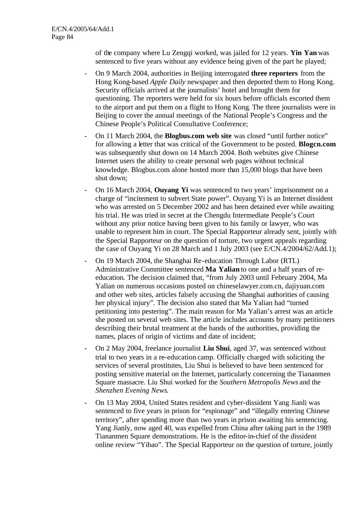of the company where Lu Zengqi worked, was jailed for 12 years. **Yin Yan** was sentenced to five years without any evidence being given of the part he played;

- On 9 March 2004, authorities in Beijing interrogated **three reporters** from the Hong Kong-based *Apple Daily* newspaper and then deported them to Hong Kong. Security officials arrived at the journalists' hotel and brought them for questioning. The reporters were held for six hours before officials escorted them to the airport and put them on a flight to Hong Kong. The three journalists were in Beijing to cover the annual meetings of the National People's Congress and the Chinese People's Political Consultative Conference;
- On 11 March 2004, the **Blogbus.com web site** was closed "until further notice" for allowing a letter that was critical of the Government to be posted. **Blogcn.com** was subsequently shut down on 14 March 2004. Both websites give Chinese Internet users the ability to create personal web pages without technical knowledge. Blogbus.com alone hosted more than 15,000 blogs that have been shut down;
- On 16 March 2004, **Ouyang Yi** was sentenced to two years' imprisonment on a charge of "incitement to subvert State power". Ouyang Yi is an Internet dissident who was arrested on 5 December 2002 and has been detained ever while awaiting his trial. He was tried in secret at the Chengdu Intermediate People's Court without any prior notice having been given to his family or lawyer, who was unable to represent him in court. The Special Rapporteur already sent, jointly with the Special Rapporteur on the question of torture, two urgent appeals regarding the case of Ouyang Yi on 28 March and 1 July 2003 (see E/CN.4/2004/62/Add.1);
- On 19 March 2004, the Shanghai Re-education Through Labor (RTL) Administrative Committee sentenced **Ma Yalian** to one and a half years of reeducation. The decision claimed that, "from July 2003 until February 2004, Ma Yalian on numerous occasions posted on chineselawyer.com.cn, dajiyuan.com and other web sites, articles falsely accusing the Shanghai authorities of causing her physical injury". The decision also stated that Ma Yalian had "turned petitioning into pestering". The main reason for Ma Yalian's arrest was an article she posted on several web sites. The article includes accounts by many petitioners describing their brutal treatment at the hands of the authorities, providing the names, places of origin of victims and date of incident;
- On 2 May 2004, freelance journalist **Liu Shui**, aged 37, was sentenced without trial to two years in a re-education camp. Officially charged with soliciting the services of several prostitutes, Liu Shui is believed to have been sentenced for posting sensitive material on the Internet, particularly concerning the Tiananmen Square massacre. Liu Shui worked for the *Southern Metropolis News* and the *Shenzhen Evening News*.
- On 13 May 2004, United States resident and cyber-dissident Yang Jianli was sentenced to five years in prison for "espionage" and "illegally entering Chinese territory", after spending more than two years in prison awaiting his sentencing. Yang Jianly, now aged 40, was expelled from China after taking part in the 1989 Tiananmen Square demonstrations. He is the editor-in-chief of the dissident online review "Yibao". The Special Rapporteur on the question of torture, jointly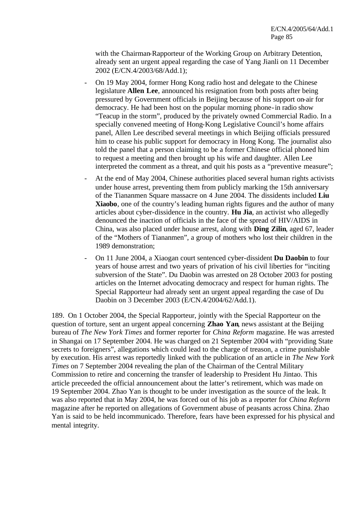with the Chairman-Rapporteur of the Working Group on Arbitrary Detention, already sent an urgent appeal regarding the case of Yang Jianli on 11 December 2002 (E/CN.4/2003/68/Add.1);

- On 19 May 2004, former Hong Kong radio host and delegate to the Chinese legislature **Allen Lee**, announced his resignation from both posts after being pressured by Government officials in Beijing because of his support on-air for democracy. He had been host on the popular morning phone-in radio show "Teacup in the storm", produced by the privately owned Commercial Radio. In a specially convened meeting of Hong-Kong Legislative Council's home affairs panel, Allen Lee described several meetings in which Beijing officials pressured him to cease his public support for democracy in Hong Kong. The journalist also told the panel that a person claiming to be a former Chinese official phoned him to request a meeting and then brought up his wife and daughter. Allen Lee interpreted the comment as a threat, and quit his posts as a "preventive measure";
- At the end of May 2004, Chinese authorities placed several human rights activists under house arrest, preventing them from publicly marking the 15th anniversary of the Tiananmen Square massacre on 4 June 2004. The dissidents included **Liu Xiaobo**, one of the country's leading human rights figures and the author of many articles about cyber-dissidence in the country. **Hu Jia**, an activist who allegedly denounced the inaction of officials in the face of the spread of HIV/AIDS in China, was also placed under house arrest, along with **Ding Zilin**, aged 67, leader of the "Mothers of Tiananmen", a group of mothers who lost their children in the 1989 demonstration;
- On 11 June 2004, a Xiaogan court sentenced cyber-dissident **Du Daobin** to four years of house arrest and two years of privation of his civil liberties for "inciting subversion of the State". Du Daobin was arrested on 28 October 2003 for posting articles on the Internet advocating democracy and respect for human rights. The Special Rapporteur had already sent an urgent appeal regarding the case of Du Daobin on 3 December 2003 (E/CN.4/2004/62/Add.1).

189. On 1 October 2004, the Special Rapporteur, jointly with the Special Rapporteur on the question of torture, sent an urgent appeal concerning **Zhao Yan**, news assistant at the Beijing bureau of *The New York Times* and former reporter for *China Reform* magazine. He was arrested in Shangai on 17 September 2004. He was charged on 21 September 2004 with "providing State secrets to foreigners", allegations which could lead to the charge of treason, a crime punishable by execution. His arrest was reportedly linked with the publication of an article in *The New York Times* on 7 September 2004 revealing the plan of the Chairman of the Central Military Commission to retire and concerning the transfer of leadership to President Hu Jintao. This article preceeded the official announcement about the latter's retirement, which was made on 19 September 2004. Zhao Yan is thought to be under investigation as the source of the leak. It was also reported that in May 2004, he was forced out of his job as a reporter for *China Reform* magazine after he reported on allegations of Government abuse of peasants across China. Zhao Yan is said to be held incommunicado. Therefore, fears have been expressed for his physical and mental integrity.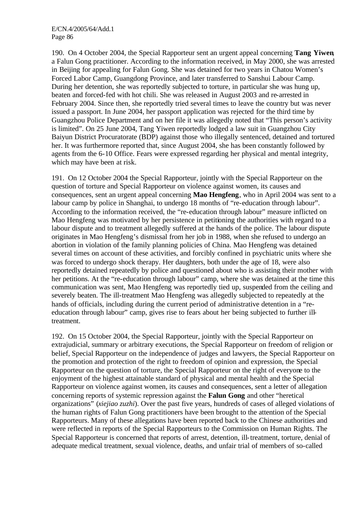190. On 4 October 2004, the Special Rapporteur sent an urgent appeal concerning **Tang Yiwen**, a Falun Gong practitioner. According to the information received, in May 2000, she was arrested in Beijing for appealing for Falun Gong. She was detained for two years in Chatou Women's Forced Labor Camp, Guangdong Province, and later transferred to Sanshui Labour Camp. During her detention, she was reportedly subjected to torture, in particular she was hung up, beaten and forced-fed with hot chili. She was released in August 2003 and re-arrested in February 2004. Since then, she reportedly tried several times to leave the country but was never issued a passport. In June 2004, her passport application was rejected for the third time by Guangzhou Police Department and on her file it was allegedly noted that "This person's activity is limited". On 25 June 2004, Tang Yiwen reportedly lodged a law suit in Guangzhou City Baiyun District Procuratorate (BDP) against those who illegally sentenced, detained and tortured her. It was furthermore reported that, since August 2004, she has been constantly followed by agents from the 6-10 Office. Fears were expressed regarding her physical and mental integrity, which may have been at risk.

191. On 12 October 2004 the Special Rapporteur, jointly with the Special Rapporteur on the question of torture and Special Rapporteur on violence against women, its causes and consequences, sent an urgent appeal concerning **Mao Hengfeng**, who in April 2004 was sent to a labour camp by police in Shanghai, to undergo 18 months of "re-education through labour". According to the information received, the "re-education through labour" measure inflicted on Mao Hengfeng was motivated by her persistence in petitioning the authorities with regard to a labour dispute and to treatment allegedly suffered at the hands of the police. The labour dispute originates in Mao Hengfeng's dismissal from her job in 1988, when she refused to undergo an abortion in violation of the family planning policies of China. Mao Hengfeng was detained several times on account of these activities, and forcibly confined in psychiatric units where she was forced to undergo shock therapy. Her daughters, both under the age of 18, were also reportedly detained repeatedly by police and questioned about who is assisting their mother with her petitions. At the "re-education through labour" camp, where she was detained at the time this communication was sent, Mao Hengfeng was reportedly tied up, suspended from the ceiling and severely beaten. The ill-treatment Mao Hengfeng was allegedly subjected to repeatedly at the hands of officials, including during the current period of administrative detention in a "reeducation through labour" camp, gives rise to fears about her being subjected to further illtreatment.

192. On 15 October 2004, the Special Rapporteur, jointly with the Special Rapporteur on extrajudicial, summary or arbitrary executions, the Special Rapporteur on freedom of religion or belief, Special Rapporteur on the independence of judges and lawyers, the Special Rapporteur on the promotion and protection of the right to freedom of opinion and expression, the Special Rapporteur on the question of torture, the Special Rapporteur on the right of everyone to the enjoyment of the highest attainable standard of physical and mental health and the Special Rapporteur on violence against women, its causes and consequences, sent a letter of allegation concerning reports of systemic repression against the **Falun Gong** and other "heretical organizations" (*xiejiao zuzhi*). Over the past five years, hundreds of cases of alleged violations of the human rights of Falun Gong practitioners have been brought to the attention of the Special Rapporteurs. Many of these allegations have been reported back to the Chinese authorities and were reflected in reports of the Special Rapporteurs to the Commission on Human Rights. The Special Rapporteur is concerned that reports of arrest, detention, ill-treatment, torture, denial of adequate medical treatment, sexual violence, deaths, and unfair trial of members of so-called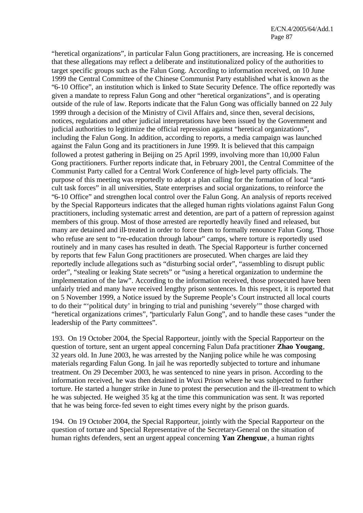"heretical organizations", in particular Falun Gong practitioners, are increasing. He is concerned that these allegations may reflect a deliberate and institutionalized policy of the authorities to target specific groups such as the Falun Gong. According to information received, on 10 June 1999 the Central Committee of the Chinese Communist Party established what is known as the "6-10 Office", an institution which is linked to State Security Defence. The office reportedly was given a mandate to repress Falun Gong and other "heretical organizations", and is operating outside of the rule of law. Reports indicate that the Falun Gong was officially banned on 22 July 1999 through a decision of the Ministry of Civil Affairs and, since then, several decisions, notices, regulations and other judicial interpretations have been issued by the Government and judicial authorities to legitimize the official repression against "heretical organizations", including the Falun Gong. In addition, according to reports, a media campaign was launched against the Falun Gong and its practitioners in June 1999. It is believed that this campaign followed a protest gathering in Beijing on 25 April 1999, involving more than 10,000 Falun Gong practitioners. Further reports indicate that, in February 2001, the Central Committee of the Communist Party called for a Central Work Conference of high-level party officials. The purpose of this meeting was reportedly to adopt a plan calling for the formation of local "anticult task forces" in all universities, State enterprises and social organizations, to reinforce the "6-10 Office" and strengthen local control over the Falun Gong. An analysis of reports received by the Special Rapporteurs indicates that the alleged human rights violations against Falun Gong practitioners, including systematic arrest and detention, are part of a pattern of repression against members of this group. Most of those arrested are reportedly heavily fined and released, but many are detained and ill-treated in order to force them to formally renounce Falun Gong. Those who refuse are sent to "re-education through labour" camps, where torture is reportedly used routinely and in many cases has resulted in death. The Special Rapporteur is further concerned by reports that few Falun Gong practitioners are prosecuted. When charges are laid they reportedly include allegations such as "disturbing social order", "assembling to disrupt public order", "stealing or leaking State secrets" or "using a heretical organization to undermine the implementation of the law". According to the information received, those prosecuted have been unfairly tried and many have received lengthy prison sentences. In this respect, it is reported that on 5 November 1999, a Notice issued by the Supreme People's Court instructed all local courts to do their "'political duty' in bringing to trial and punishing 'severely'" those charged with "heretical organizations crimes", "particularly Falun Gong", and to handle these cases "under the leadership of the Party committees".

193. On 19 October 2004, the Special Rapporteur, jointly with the Special Rapporteur on the question of torture, sent an urgent appeal concerning Falun Dafa practitioner **Zhao Yougang**, 32 years old. In June 2003, he was arrested by the Nanjing police while he was composing materials regarding Falun Gong. In jail he was reportedly subjected to torture and inhumane treatment. On 29 December 2003, he was sentenced to nine years in prison. According to the information received, he was then detained in Wuxi Prison where he was subjected to further torture. He started a hunger strike in June to protest the persecution and the ill-treatment to which he was subjected. He weighed 35 kg at the time this communication was sent. It was reported that he was being force-fed seven to eight times every night by the prison guards.

194. On 19 October 2004, the Special Rapporteur, jointly with the Special Rapporteur on the question of torture and Special Representative of the Secretary-General on the situation of human rights defenders, sent an urgent appeal concerning **Yan Zhengxue**, a human rights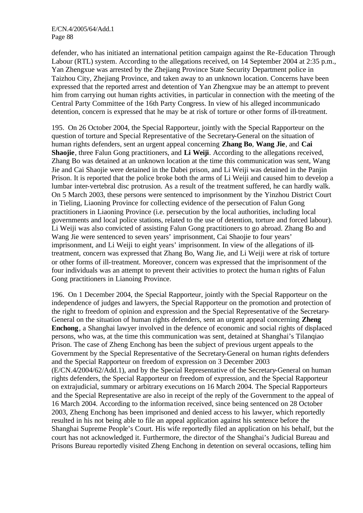defender, who has initiated an international petition campaign against the Re-Education Through Labour (RTL) system. According to the allegations received, on 14 September 2004 at 2:35 p.m., Yan Zhengxue was arrested by the Zhejiang Province State Security Department police in Taizhou City, Zheijang Province, and taken away to an unknown location. Concerns have been expressed that the reported arrest and detention of Yan Zhengxue may be an attempt to prevent him from carrying out human rights activities, in particular in connection with the meeting of the Central Party Committee of the 16th Party Congress. In view of his alleged incommunicado detention, concern is expressed that he may be at risk of torture or other forms of ill-treatment.

195. On 26 October 2004, the Special Rapporteur, jointly with the Special Rapporteur on the question of torture and Special Representative of the Secretary-General on the situation of human rights defenders, sent an urgent appeal concerning **Zhang Bo**, **Wang Jie**, and **Cai Shaojie**, three Falun Gong practitioners, and **Li Weiji**. According to the allegations received, Zhang Bo was detained at an unknown location at the time this communication was sent, Wang Jie and Cai Shaojie were detained in the Dabei prison, and Li Weiji was detained in the Panjin Prison. It is reported that the police broke both the arms of Li Weiji and caused him to develop a lumbar inter-vertebral disc protrusion. As a result of the treatment suffered, he can hardly walk. On 5 March 2003, these persons were sentenced to imprisonment by the Yinzhou District Court in Tieling, Liaoning Province for collecting evidence of the persecution of Falun Gong practitioners in Liaoning Province (i.e. persecution by the local authorities, including local governments and local police stations, related to the use of detention, torture and forced labour). Li Weiji was also convicted of assisting Falun Gong practitioners to go abroad. Zhang Bo and Wang Jie were sentenced to seven years' imprisonment, Cai Shaojie to four years' imprisonment, and Li Weiji to eight years' imprisonment. In view of the allegations of illtreatment, concern was expressed that Zhang Bo, Wang Jie, and Li Weiji were at risk of torture or other forms of ill-treatment. Moreover, concern was expressed that the imprisonment of the four individuals was an attempt to prevent their activities to protect the human rights of Falun Gong practitioners in Lianoing Province.

196. On 1 December 2004, the Special Rapporteur, jointly with the Special Rapporteur on the independence of judges and lawyers, the Special Rapporteur on the promotion and protection of the right to freedom of opinion and expression and the Special Representative of the Secretary-General on the situation of human rights defenders, sent an urgent appeal concerning **Zheng Enchong**, a Shanghai lawyer involved in the defence of economic and social rights of displaced persons, who was, at the time this communication was sent, detained at Shanghai's Tilanqiao Prison. The case of Zheng Enchong has been the subject of previous urgent appeals to the Government by the Special Representative of the Secretary-General on human rights defenders and the Special Rapporteur on freedom of expression on 3 December 2003 (E/CN.4**/**2004/62/Add.1), and by the Special Representative of the Secretary-General on human rights defenders, the Special Rapporteur on freedom of expression, and the Special Rapporteur on extrajudicial, summary or arbitrary executions on 16 March 2004. The Special Rapporteurs and the Special Representative are also in receipt of the reply of the Government to the appeal of 16 March 2004. According to the informa tion received, since being sentenced on 28 October 2003, Zheng Enchong has been imprisoned and denied access to his lawyer, which reportedly resulted in his not being able to file an appeal application against his sentence before the Shanghai Supreme People's Court. His wife reportedly filed an application on his behalf, but the court has not acknowledged it. Furthermore, the director of the Shanghai's Judicial Bureau and Prisons Bureau reportedly visited Zheng Enchong in detention on several occasions, telling him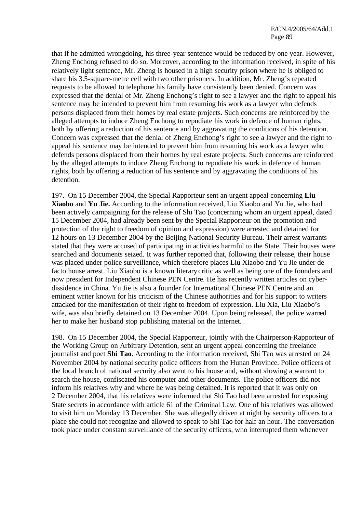that if he admitted wrongdoing, his three-year sentence would be reduced by one year. However, Zheng Enchong refused to do so. Moreover, according to the information received, in spite of his relatively light sentence, Mr. Zheng is housed in a high security prison where he is obliged to share his 3.5-square-metre cell with two other prisoners. In addition, Mr. Zheng's repeated requests to be allowed to telephone his family have consistently been denied. Concern was expressed that the denial of Mr. Zheng Enchong's right to see a lawyer and the right to appeal his sentence may be intended to prevent him from resuming his work as a lawyer who defends persons displaced from their homes by real estate projects. Such concerns are reinforced by the alleged attempts to induce Zheng Enchong to repudiate his work in defence of human rights, both by offering a reduction of his sentence and by aggravating the conditions of his detention. Concern was expressed that the denial of Zheng Enchong's right to see a lawyer and the right to appeal his sentence may be intended to prevent him from resuming his work as a lawyer who defends persons displaced from their homes by real estate projects. Such concerns are reinforced by the alleged attempts to induce Zheng Enchong to repudiate his work in defence of human rights, both by offering a reduction of his sentence and by aggravating the conditions of his detention.

197. On 15 December 2004, the Special Rapporteur sent an urgent appeal concerning **Liu Xiaobo** and **Yu Jie.** According to the information received, Liu Xiaobo and Yu Jie, who had been actively campaigning for the release of Shi Tao (concerning whom an urgent appeal, dated 15 December 2004, had already been sent by the Special Rapporteur on the promotion and protection of the right to freedom of opinion and expression) were arrested and detained for 12 hours on 13 December 2004 by the Beijing National Security Bureau. Their arrest warrants stated that they were accused of participating in activities harmful to the State. Their houses were searched and documents seized. It was further reported that, following their release, their house was placed under police surveillance, which therefore places Liu Xiaobo and Yu Jie under de facto house arrest. Liu Xiaobo is a known literary critic as well as being one of the founders and now president for Independent Chinese PEN Centre. He has recently written articles on cyberdissidence in China. Yu Jie is also a founder for International Chinese PEN Centre and an eminent writer known for his criticism of the Chinese authorities and for his support to writers attacked for the manifestation of their right to freedom of expression. Liu Xia, Liu Xiaobo's wife, was also briefly detained on 13 December 2004. Upon being released, the police warned her to make her husband stop publishing material on the Internet.

198. On 15 December 2004, the Special Rapporteur, jointly with the Chairperson-Rapporteur of the Working Group on Arbitrary Detention, sent an urgent appeal concerning the freelance journalist and poet **Shi Tao**. According to the information received, Shi Tao was arrested on 24 November 2004 by national security police officers from the Hunan Province. Police officers of the local branch of national security also went to his house and, without showing a warrant to search the house, confiscated his computer and other documents. The police officers did not inform his relatives why and where he was being detained. It is reported that it was only on 2 December 2004, that his relatives were informed that Shi Tao had been arrested for exposing State secrets in accordance with article 61 of the Criminal Law. One of his relatives was allowed to visit him on Monday 13 December. She was allegedly driven at night by security officers to a place she could not recognize and allowed to speak to Shi Tao for half an hour. The conversation took place under constant surveillance of the security officers, who interrupted them whenever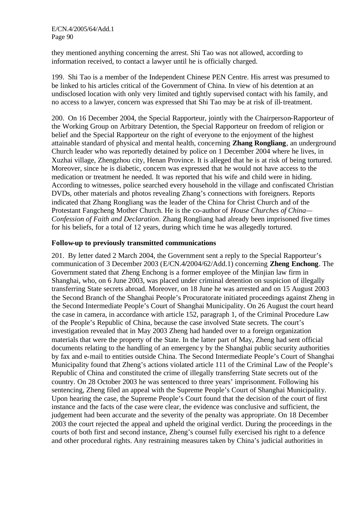they mentioned anything concerning the arrest. Shi Tao was not allowed, according to information received, to contact a lawyer until he is officially charged.

199. Shi Tao is a member of the Independent Chinese PEN Centre. His arrest was presumed to be linked to his articles critical of the Government of China. In view of his detention at an undisclosed location with only very limited and tightly supervised contact with his family, and no access to a lawyer, concern was expressed that Shi Tao may be at risk of ill-treatment.

200. On 16 December 2004, the Special Rapporteur, jointly with the Chairperson-Rapporteur of the Working Group on Arbitrary Detention, the Special Rapporteur on freedom of religion or belief and the Special Rapporteur on the right of everyone to the enjoyment of the highest attainable standard of physical and mental health, concerning **Zhang Rongliang**, an underground Church leader who was reportedly detained by police on 1 December 2004 where he lives, in Xuzhai village, Zhengzhou city, Henan Province. It is alleged that he is at risk of being tortured. Moreover, since he is diabetic, concern was expressed that he would not have access to the medication or treatment he needed. It was reported that his wife and child were in hiding. According to witnesses, police searched every household in the village and confiscated Christian DVDs, other materials and photos revealing Zhang's connections with foreigners. Reports indicated that Zhang Rongliang was the leader of the China for Christ Church and of the Protestant Fangcheng Mother Church. He is the co-author of *House Churches of China— Confession of Faith and Declaration*. Zhang Rongliang had already been imprisoned five times for his beliefs, for a total of 12 years, during which time he was allegedly tortured.

#### **Follow-up to previously transmitted communications**

201. By letter dated 2 March 2004, the Government sent a reply to the Special Rapporteur's communication of 3 December 2003 (E/CN.4**/**2004/62/Add.1) concerning **Zheng Enchong**. The Government stated that Zheng Enchong is a former employee of the Minjian law firm in Shanghai, who, on 6 June 2003, was placed under criminal detention on suspicion of illegally transferring State secrets abroad. Moreover, on 18 June he was arrested and on 15 August 2003 the Second Branch of the Shanghai People's Procuratorate initiated proceedings against Zheng in the Second Intermediate People's Court of Shanghai Municipality. On 26 August the court heard the case in camera, in accordance with article 152, paragraph 1, of the Criminal Procedure Law of the People's Republic of China, because the case involved State secrets. The court's investigation revealed that in May 2003 Zheng had handed over to a foreign organization materials that were the property of the State. In the latter part of May, Zheng had sent official documents relating to the handling of an emergency by the Shanghai public security authorities by fax and e-mail to entities outside China. The Second Intermediate People's Court of Shanghai Municipality found that Zheng's actions violated article 111 of the Criminal Law of the People's Republic of China and constituted the crime of illegally transferring State secrets out of the country. On 28 October 2003 he was sentenced to three years' imprisonment. Following his sentencing, Zheng filed an appeal with the Supreme People's Court of Shanghai Municipality. Upon hearing the case, the Supreme People's Court found that the decision of the court of first instance and the facts of the case were clear, the evidence was conclusive and sufficient, the judgement had been accurate and the severity of the penalty was appropriate. On 18 December 2003 the court rejected the appeal and upheld the original verdict. During the proceedings in the courts of both first and second instance, Zheng's counsel fully exercised his right to a defence and other procedural rights. Any restraining measures taken by China's judicial authorities in